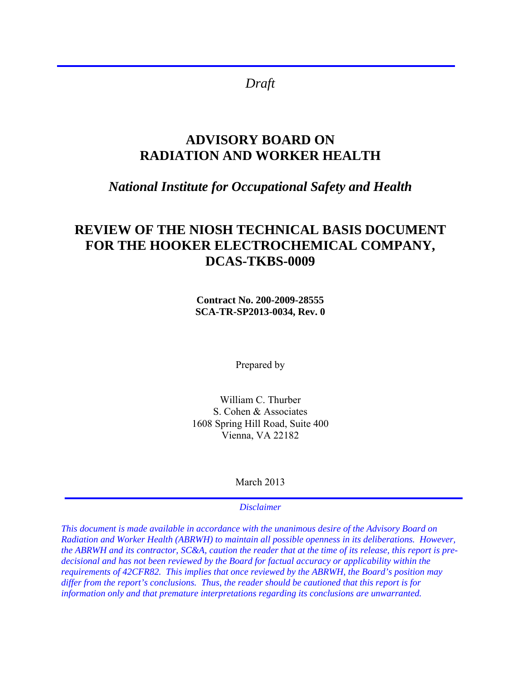*Draft* 

j

# **ADVISORY BOARD ON RADIATION AND WORKER HEALTH**

## *National Institute for Occupational Safety and Health*

## **REVIEW OF THE NIOSH TECHNICAL BASIS DOCUMENT FOR THE HOOKER ELECTROCHEMICAL COMPANY, DCAS-TKBS-0009**

**Contract No. 200-2009-28555 SCA-TR-SP2013-0034, Rev. 0** 

Prepared by

William C. Thurber S. Cohen & Associates 1608 Spring Hill Road, Suite 400 Vienna, VA 22182

March 2013

#### *Disclaimer*

*This document is made available in accordance with the unanimous desire of the Advisory Board on Radiation and Worker Health (ABRWH) to maintain all possible openness in its deliberations. However, the ABRWH and its contractor, SC&A, caution the reader that at the time of its release, this report is predecisional and has not been reviewed by the Board for factual accuracy or applicability within the requirements of 42CFR82. This implies that once reviewed by the ABRWH, the Board's position may differ from the report's conclusions. Thus, the reader should be cautioned that this report is for information only and that premature interpretations regarding its conclusions are unwarranted.*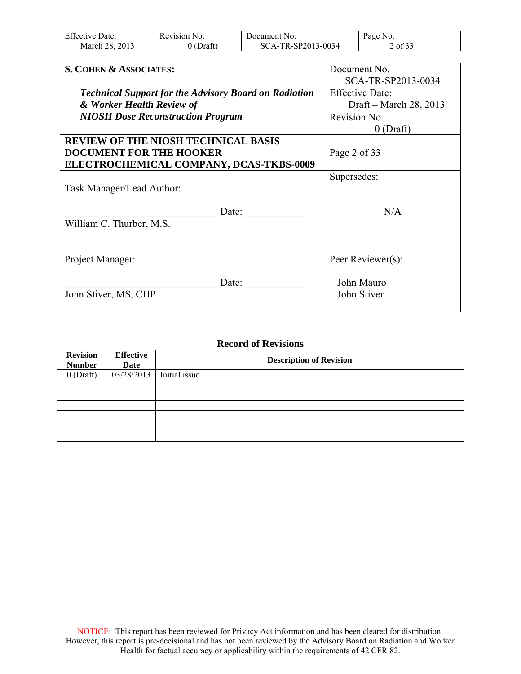| <b>Effective Date:</b> | Revision No. | Document No.       | Page No. |
|------------------------|--------------|--------------------|----------|
| March 28, 2013         | $0$ (Draft)  | SCA-TR-SP2013-0034 | 2 of 33  |

| S. COHEN & ASSOCIATES:                                       | Document No.           |
|--------------------------------------------------------------|------------------------|
|                                                              | SCA-TR-SP2013-0034     |
| <b>Technical Support for the Advisory Board on Radiation</b> | <b>Effective Date:</b> |
| & Worker Health Review of                                    | Draft – March 28, 2013 |
| <b>NIOSH Dose Reconstruction Program</b>                     | Revision No.           |
|                                                              | $0$ (Draft)            |
| <b>REVIEW OF THE NIOSH TECHNICAL BASIS</b>                   |                        |
| <b>DOCUMENT FOR THE HOOKER</b>                               | Page 2 of 33           |
| ELECTROCHEMICAL COMPANY, DCAS-TKBS-0009                      |                        |
|                                                              | Supersedes:            |
| Task Manager/Lead Author:                                    |                        |
|                                                              |                        |
| Date:                                                        | N/A                    |
| William C. Thurber, M.S.                                     |                        |
|                                                              |                        |
|                                                              |                        |
| Project Manager:                                             | Peer Reviewer(s):      |
|                                                              |                        |
| Date:                                                        | John Mauro             |
| John Stiver, MS, CHP                                         | John Stiver            |
|                                                              |                        |

#### **Record of Revisions**

| <b>Revision</b><br><b>Number</b> | <b>Effective</b><br>Date | <b>Description of Revision</b> |
|----------------------------------|--------------------------|--------------------------------|
|                                  |                          |                                |
| $0$ (Draft)                      | 03/28/2013               | Initial issue                  |
|                                  |                          |                                |
|                                  |                          |                                |
|                                  |                          |                                |
|                                  |                          |                                |
|                                  |                          |                                |
|                                  |                          |                                |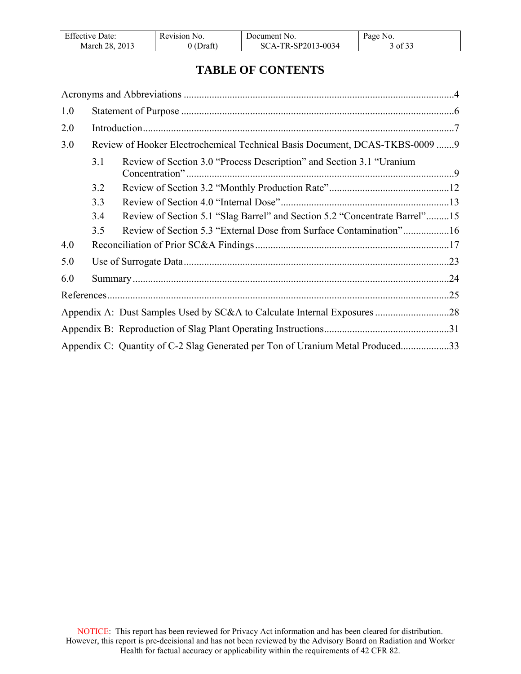| <b>Effective Date:</b> | Revision No. | Document No.       | Page No. |
|------------------------|--------------|--------------------|----------|
| March 28, 2013         | 0 (Draft)    | SCA-TR-SP2013-0034 | 3 of 33  |

## **TABLE OF CONTENTS**

| 1.0 |     |                                                                                |  |
|-----|-----|--------------------------------------------------------------------------------|--|
| 2.0 |     |                                                                                |  |
| 3.0 |     | Review of Hooker Electrochemical Technical Basis Document, DCAS-TKBS-0009 9    |  |
|     | 3.1 | Review of Section 3.0 "Process Description" and Section 3.1 "Uranium           |  |
|     | 3.2 |                                                                                |  |
|     | 3.3 |                                                                                |  |
|     | 3.4 | Review of Section 5.1 "Slag Barrel" and Section 5.2 "Concentrate Barrel"15     |  |
|     | 3.5 | Review of Section 5.3 "External Dose from Surface Contamination"16             |  |
| 4.0 |     |                                                                                |  |
| 5.0 |     |                                                                                |  |
| 6.0 |     |                                                                                |  |
|     |     |                                                                                |  |
|     |     |                                                                                |  |
|     |     |                                                                                |  |
|     |     | Appendix C: Quantity of C-2 Slag Generated per Ton of Uranium Metal Produced33 |  |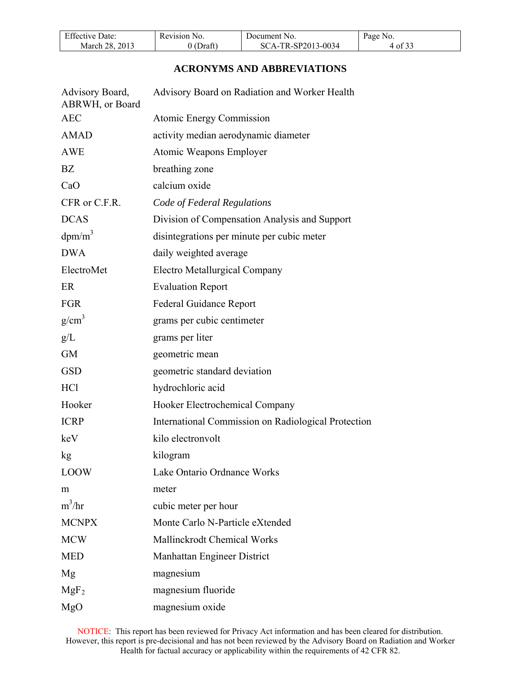| <b>Effective Date:</b> | Revision No. | Document No.       | Page No. |
|------------------------|--------------|--------------------|----------|
| March 28, 2013         | $0$ (Draft)  | SCA-TR-SP2013-0034 | 4 of 33  |

## **ACRONYMS AND ABBREVIATIONS**

<span id="page-3-0"></span>

| Advisory Board,<br>ABRWH, or Board | Advisory Board on Radiation and Worker Health       |
|------------------------------------|-----------------------------------------------------|
| <b>AEC</b>                         | <b>Atomic Energy Commission</b>                     |
| <b>AMAD</b>                        | activity median aerodynamic diameter                |
| <b>AWE</b>                         | Atomic Weapons Employer                             |
| BZ                                 | breathing zone                                      |
| CaO                                | calcium oxide                                       |
| CFR or C.F.R.                      | Code of Federal Regulations                         |
| <b>DCAS</b>                        | Division of Compensation Analysis and Support       |
| $dpm/m^3$                          | disintegrations per minute per cubic meter          |
| <b>DWA</b>                         | daily weighted average                              |
| ElectroMet                         | <b>Electro Metallurgical Company</b>                |
| ER                                 | <b>Evaluation Report</b>                            |
| <b>FGR</b>                         | Federal Guidance Report                             |
| g/cm <sup>3</sup>                  | grams per cubic centimeter                          |
| g/L                                | grams per liter                                     |
| <b>GM</b>                          | geometric mean                                      |
| <b>GSD</b>                         | geometric standard deviation                        |
| HC <sub>1</sub>                    | hydrochloric acid                                   |
| Hooker                             | Hooker Electrochemical Company                      |
| <b>ICRP</b>                        | International Commission on Radiological Protection |
| keV                                | kilo electronvolt                                   |
| kg                                 | kilogram                                            |
| <b>LOOW</b>                        | Lake Ontario Ordnance Works                         |
| m                                  | meter                                               |
| $m^3/hr$                           | cubic meter per hour                                |
| <b>MCNPX</b>                       | Monte Carlo N-Particle eXtended                     |
| <b>MCW</b>                         | Mallinckrodt Chemical Works                         |
| <b>MED</b>                         | Manhattan Engineer District                         |
| Mg                                 | magnesium                                           |
| MgF <sub>2</sub>                   | magnesium fluoride                                  |
| MgO                                | magnesium oxide                                     |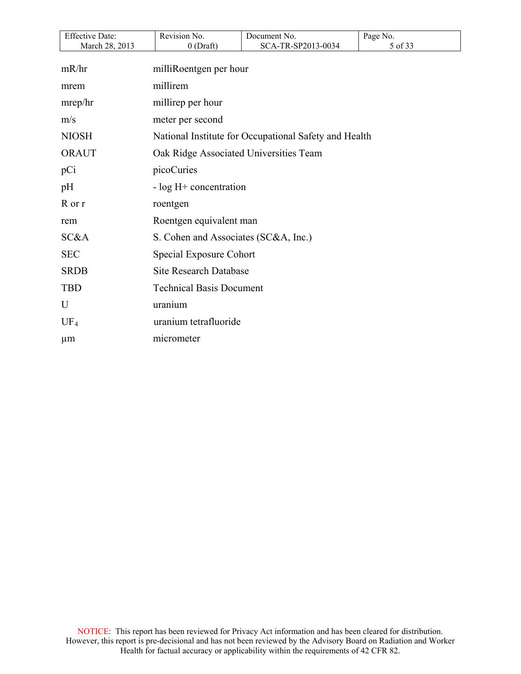| <b>Effective Date:</b> | Revision No.                           | Document No.                                          | Page No. |
|------------------------|----------------------------------------|-------------------------------------------------------|----------|
| March 28, 2013         | $0$ (Draft)                            | SCA-TR-SP2013-0034                                    | 5 of 33  |
| mR/hr                  | milliRoentgen per hour                 |                                                       |          |
| mrem                   | millirem                               |                                                       |          |
| mrep/hr                | millirep per hour                      |                                                       |          |
| m/s                    | meter per second                       |                                                       |          |
| <b>NIOSH</b>           |                                        | National Institute for Occupational Safety and Health |          |
| <b>ORAUT</b>           | Oak Ridge Associated Universities Team |                                                       |          |
| pCi                    | picoCuries                             |                                                       |          |
| pH                     | $-$ log H $+$ concentration            |                                                       |          |
| R or r                 | roentgen                               |                                                       |          |
| rem                    | Roentgen equivalent man                |                                                       |          |
| SC&A                   | S. Cohen and Associates (SC&A, Inc.)   |                                                       |          |
| <b>SEC</b>             | Special Exposure Cohort                |                                                       |          |
| <b>SRDB</b>            | <b>Site Research Database</b>          |                                                       |          |
| <b>TBD</b>             | <b>Technical Basis Document</b>        |                                                       |          |
| U                      | uranium                                |                                                       |          |
| $UF_4$                 | uranium tetrafluoride                  |                                                       |          |
| $\mu$ m                | micrometer                             |                                                       |          |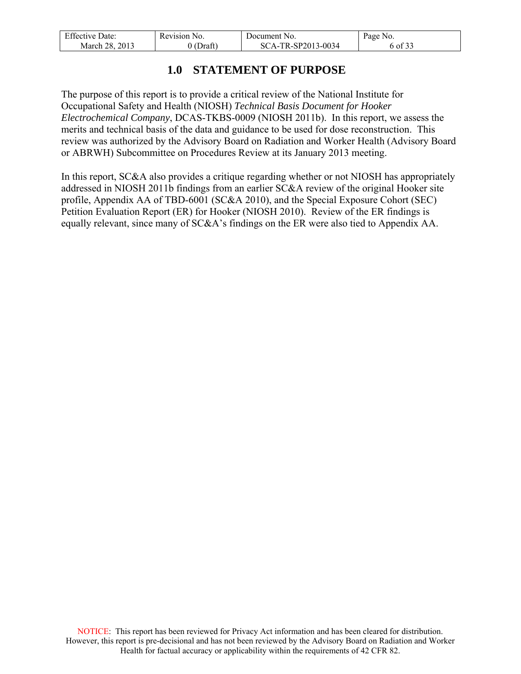| <b>Effective Date:</b> | Revision No. | Document No.       | Page No. |
|------------------------|--------------|--------------------|----------|
| March 28, 2013         | 0 (Draft)    | SCA-TR-SP2013-0034 | 6 of 33  |

## **1.0 STATEMENT OF PURPOSE**

<span id="page-5-0"></span>The purpose of this report is to provide a critical review of the National Institute for Occupational Safety and Health (NIOSH) *Technical Basis Document for Hooker Electrochemical Company*, DCAS-TKBS-0009 (NIOSH 2011b). In this report, we assess the merits and technical basis of the data and guidance to be used for dose reconstruction. This review was authorized by the Advisory Board on Radiation and Worker Health (Advisory Board or ABRWH) Subcommittee on Procedures Review at its January 2013 meeting.

In this report, SC&A also provides a critique regarding whether or not NIOSH has appropriately addressed in NIOSH 2011b findings from an earlier SC&A review of the original Hooker site profile, Appendix AA of TBD-6001 (SC&A 2010), and the Special Exposure Cohort (SEC) Petition Evaluation Report (ER) for Hooker (NIOSH 2010). Review of the ER findings is equally relevant, since many of SC&A's findings on the ER were also tied to Appendix AA.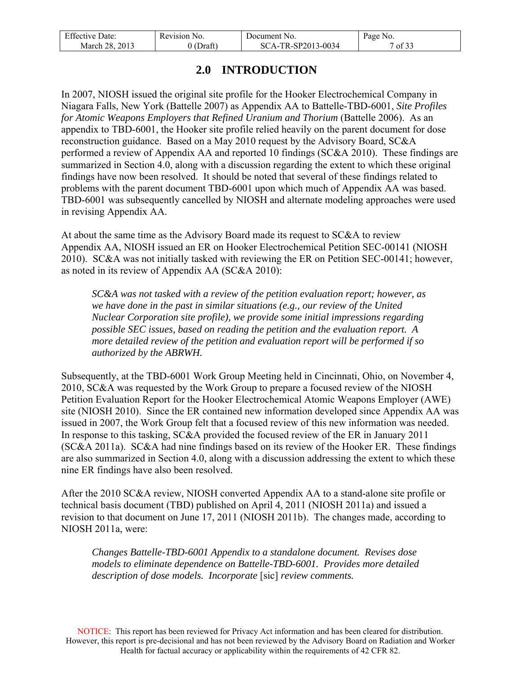| <b>Effective Date:</b> | Revision No. | Document No.       | Page No. |
|------------------------|--------------|--------------------|----------|
| March 28, 2013         | 'Draft'      | SCA-TR-SP2013-0034 | of $33$  |

## **2.0 INTRODUCTION**

<span id="page-6-0"></span>In 2007, NIOSH issued the original site profile for the Hooker Electrochemical Company in Niagara Falls, New York (Battelle 2007) as Appendix AA to Battelle-TBD-6001, *Site Profiles for Atomic Weapons Employers that Refined Uranium and Thorium* (Battelle 2006). As an appendix to TBD-6001, the Hooker site profile relied heavily on the parent document for dose reconstruction guidance. Based on a May 2010 request by the Advisory Board, SC&A performed a review of Appendix AA and reported 10 findings (SC&A 2010). These findings are summarized in Section 4.0, along with a discussion regarding the extent to which these original findings have now been resolved. It should be noted that several of these findings related to problems with the parent document TBD-6001 upon which much of Appendix AA was based. TBD-6001 was subsequently cancelled by NIOSH and alternate modeling approaches were used in revising Appendix AA.

At about the same time as the Advisory Board made its request to SC&A to review Appendix AA, NIOSH issued an ER on Hooker Electrochemical Petition SEC-00141 (NIOSH 2010). SC&A was not initially tasked with reviewing the ER on Petition SEC-00141; however, as noted in its review of Appendix AA (SC&A 2010):

*SC&A was not tasked with a review of the petition evaluation report; however, as we have done in the past in similar situations (e.g., our review of the United Nuclear Corporation site profile), we provide some initial impressions regarding possible SEC issues, based on reading the petition and the evaluation report. A more detailed review of the petition and evaluation report will be performed if so authorized by the ABRWH.*

Subsequently, at the TBD-6001 Work Group Meeting held in Cincinnati, Ohio, on November 4, 2010, SC&A was requested by the Work Group to prepare a focused review of the NIOSH Petition Evaluation Report for the Hooker Electrochemical Atomic Weapons Employer (AWE) site (NIOSH 2010). Since the ER contained new information developed since Appendix AA was issued in 2007, the Work Group felt that a focused review of this new information was needed. In response to this tasking, SC&A provided the focused review of the ER in January 2011 (SC&A 2011a). SC&A had nine findings based on its review of the Hooker ER. These findings are also summarized in Section 4.0, along with a discussion addressing the extent to which these nine ER findings have also been resolved.

After the 2010 SC&A review, NIOSH converted Appendix AA to a stand-alone site profile or technical basis document (TBD) published on April 4, 2011 (NIOSH 2011a) and issued a revision to that document on June 17, 2011 (NIOSH 2011b). The changes made, according to NIOSH 2011a, were:

*Changes Battelle-TBD-6001 Appendix to a standalone document. Revises dose models to eliminate dependence on Battelle-TBD-6001. Provides more detailed description of dose models. Incorporate* [sic] *review comments.*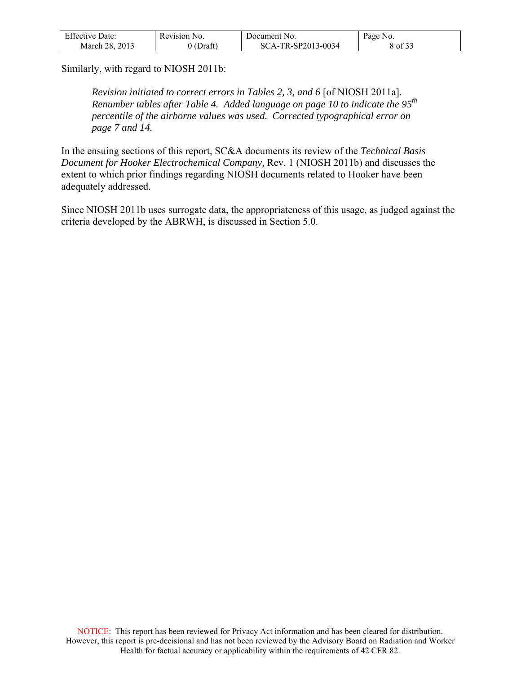| <b>Effective Date:</b> | Revision No.  | Document No.       | Page No. |
|------------------------|---------------|--------------------|----------|
| March 28, 2013         | (Draft)<br>00 | SCA-TR-SP2013-0034 | 8 of 33  |

Similarly, with regard to NIOSH 2011b:

*Revision initiated to correct errors in Tables 2, 3, and 6* [of NIOSH 2011a]. *Renumber tables after Table 4. Added language on page 10 to indicate the 95th percentile of the airborne values was used. Corrected typographical error on page 7 and 14.* 

In the ensuing sections of this report, SC&A documents its review of the *Technical Basis Document for Hooker Electrochemical Company,* Rev. 1 (NIOSH 2011b) and discusses the extent to which prior findings regarding NIOSH documents related to Hooker have been adequately addressed.

Since NIOSH 2011b uses surrogate data, the appropriateness of this usage, as judged against the criteria developed by the ABRWH, is discussed in Section 5.0.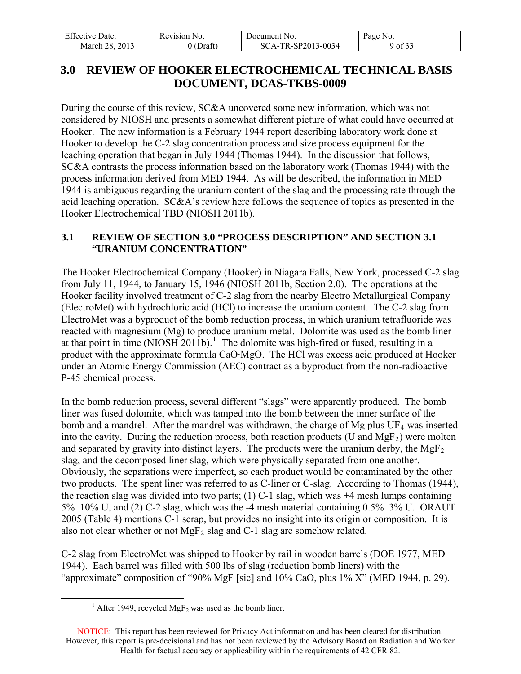| <b>Effective Date:</b> | Revision No. | Document No.       | Page No. |
|------------------------|--------------|--------------------|----------|
| . 2013<br>March 28.    | (Draft)      | SCA-TR-SP2013-0034 | 9 of 33  |

## <span id="page-8-0"></span>**3.0 REVIEW OF HOOKER ELECTROCHEMICAL TECHNICAL BASIS DOCUMENT, DCAS-TKBS-0009**

During the course of this review, SC&A uncovered some new information, which was not considered by NIOSH and presents a somewhat different picture of what could have occurred at Hooker. The new information is a February 1944 report describing laboratory work done at Hooker to develop the C-2 slag concentration process and size process equipment for the leaching operation that began in July 1944 (Thomas 1944). In the discussion that follows, SC&A contrasts the process information based on the laboratory work (Thomas 1944) with the process information derived from MED 1944. As will be described, the information in MED 1944 is ambiguous regarding the uranium content of the slag and the processing rate through the acid leaching operation. SC&A's review here follows the sequence of topics as presented in the Hooker Electrochemical TBD (NIOSH 2011b).

### <span id="page-8-1"></span>**3.1 REVIEW OF SECTION 3.0 "PROCESS DESCRIPTION" AND SECTION 3.1 "URANIUM CONCENTRATION"**

The Hooker Electrochemical Company (Hooker) in Niagara Falls, New York, processed C-2 slag from July 11, 1944, to January 15, 1946 (NIOSH 2011b, Section 2.0). The operations at the Hooker facility involved treatment of C-2 slag from the nearby Electro Metallurgical Company (ElectroMet) with hydrochloric acid (HCl) to increase the uranium content. The C-2 slag from ElectroMet was a byproduct of the bomb reduction process, in which uranium tetrafluoride was reacted with magnesium (Mg) to produce uranium metal. Dolomite was used as the bomb liner at that point in time (NIOSH 20[1](#page-8-2)1b).<sup>1</sup> The dolomite was high-fired or fused, resulting in a product with the approximate formula CaO·MgO. The HCl was excess acid produced at Hooker under an Atomic Energy Commission (AEC) contract as a byproduct from the non-radioactive P-45 chemical process.

In the bomb reduction process, several different "slags" were apparently produced. The bomb liner was fused dolomite, which was tamped into the bomb between the inner surface of the bomb and a mandrel. After the mandrel was withdrawn, the charge of Mg plus  $UF_4$  was inserted into the cavity. During the reduction process, both reaction products (U and  $MgF_2$ ) were molten and separated by gravity into distinct layers. The products were the uranium derby, the  $MgF_2$ slag, and the decomposed liner slag, which were physically separated from one another. Obviously, the separations were imperfect, so each product would be contaminated by the other two products. The spent liner was referred to as C-liner or C-slag. According to Thomas (1944), the reaction slag was divided into two parts; (1) C-1 slag, which was  $+4$  mesh lumps containing 5%–10% U, and (2) C-2 slag, which was the -4 mesh material containing 0.5%–3% U. ORAUT 2005 (Table 4) mentions C-1 scrap, but provides no insight into its origin or composition. It is also not clear whether or not  $MgF_2$  slag and C-1 slag are somehow related.

C-2 slag from ElectroMet was shipped to Hooker by rail in wooden barrels (DOE 1977, MED 1944). Each barrel was filled with 500 lbs of slag (reduction bomb liners) with the "approximate" composition of "90% MgF [sic] and 10% CaO, plus 1% X" (MED 1944, p. 29).

<span id="page-8-2"></span> $\overline{a}$ 

<sup>&</sup>lt;sup>1</sup> After 1949, recycled MgF<sub>2</sub> was used as the bomb liner.

NOTICE: This report has been reviewed for Privacy Act information and has been cleared for distribution. However, this report is pre-decisional and has not been reviewed by the Advisory Board on Radiation and Worker Health for factual accuracy or applicability within the requirements of 42 CFR 82.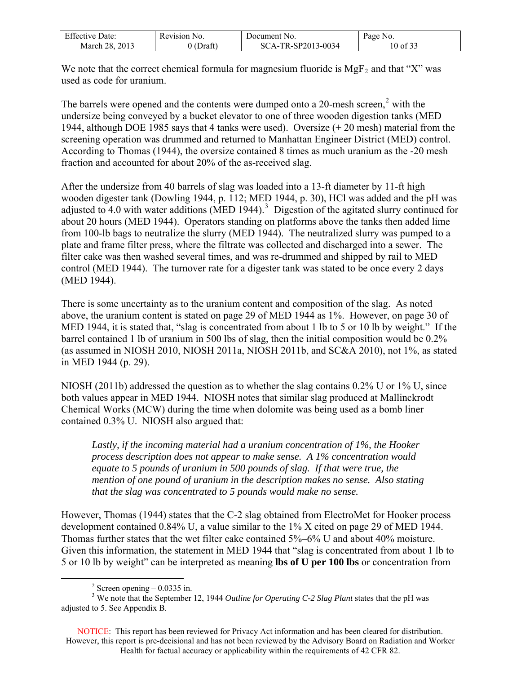| $F^{\alpha}$<br>Effective Date: | Revision No.    | Document No.              | Page No.           |
|---------------------------------|-----------------|---------------------------|--------------------|
| 2013<br>28.<br>March            | $\sim$<br>Draft | TR-SP2013-0034<br>$SCA-1$ | 0.22<br>of 33<br>0 |

We note that the correct chemical formula for magnesium fluoride is  $MgF_2$  and that "X" was used as code for uranium.

The barrels were opened and the contents were dumped onto a [2](#page-9-0)0-mesh screen,<sup>2</sup> with the undersize being conveyed by a bucket elevator to one of three wooden digestion tanks (MED 1944, although DOE 1985 says that 4 tanks were used). Oversize (+ 20 mesh) material from the screening operation was drummed and returned to Manhattan Engineer District (MED) control. According to Thomas (1944), the oversize contained 8 times as much uranium as the -20 mesh fraction and accounted for about 20% of the as-received slag.

After the undersize from 40 barrels of slag was loaded into a 13-ft diameter by 11-ft high wooden digester tank (Dowling 1944, p. 112; MED 1944, p. 30), HCl was added and the pH was adjusted to 4.0 with water additions (MED 1944).<sup>[3](#page-9-1)</sup> Digestion of the agitated slurry continued for about 20 hours (MED 1944). Operators standing on platforms above the tanks then added lime from 100-lb bags to neutralize the slurry (MED 1944). The neutralized slurry was pumped to a plate and frame filter press, where the filtrate was collected and discharged into a sewer. The filter cake was then washed several times, and was re-drummed and shipped by rail to MED control (MED 1944). The turnover rate for a digester tank was stated to be once every 2 days (MED 1944).

There is some uncertainty as to the uranium content and composition of the slag. As noted above, the uranium content is stated on page 29 of MED 1944 as 1%. However, on page 30 of MED 1944, it is stated that, "slag is concentrated from about 1 lb to 5 or 10 lb by weight." If the barrel contained 1 lb of uranium in 500 lbs of slag, then the initial composition would be 0.2% (as assumed in NIOSH 2010, NIOSH 2011a, NIOSH 2011b, and SC&A 2010), not 1%, as stated in MED 1944 (p. 29).

NIOSH (2011b) addressed the question as to whether the slag contains 0.2% U or 1% U, since both values appear in MED 1944. NIOSH notes that similar slag produced at Mallinckrodt Chemical Works (MCW) during the time when dolomite was being used as a bomb liner contained 0.3% U. NIOSH also argued that:

*Lastly, if the incoming material had a uranium concentration of 1%, the Hooker process description does not appear to make sense. A 1% concentration would equate to 5 pounds of uranium in 500 pounds of slag. If that were true, the mention of one pound of uranium in the description makes no sense. Also stating that the slag was concentrated to 5 pounds would make no sense.*

However, Thomas (1944) states that the C-2 slag obtained from ElectroMet for Hooker process development contained 0.84% U, a value similar to the 1% X cited on page 29 of MED 1944. Thomas further states that the wet filter cake contained 5%–6% U and about 40% moisture. Given this information, the statement in MED 1944 that "slag is concentrated from about 1 lb to 5 or 10 lb by weight" can be interpreted as meaning **lbs of U per 100 lbs** or concentration from

 $\overline{a}$ 

 $2$  Screen opening  $-0.0335$  in.

<span id="page-9-1"></span><span id="page-9-0"></span><sup>&</sup>lt;sup>3</sup> We note that the September 12, 1944 *Outline for Operating C-2 Slag Plant* states that the pH was adjusted to 5. See Appendix B.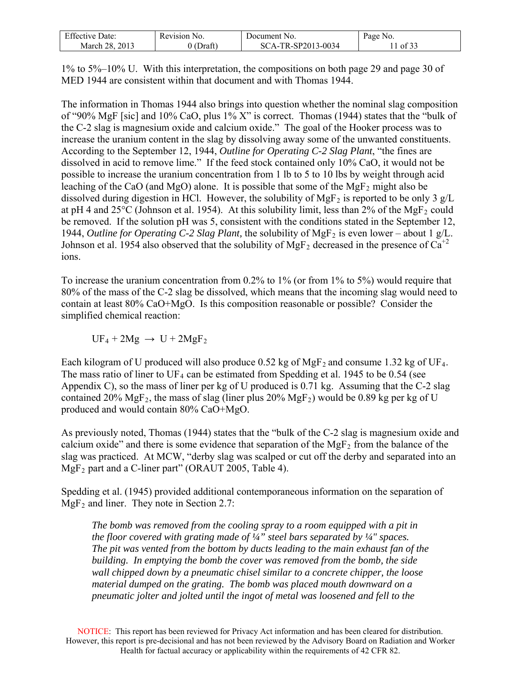| <b>Effective Date:</b> | Revision 1<br>NO.  | Document No.       | Page<br>NO. |
|------------------------|--------------------|--------------------|-------------|
| March 28.<br>2013      | Draft <sup>®</sup> | SCA-TR-SP2013-0034 | 0t          |

1% to 5%–10% U. With this interpretation, the compositions on both page 29 and page 30 of MED 1944 are consistent within that document and with Thomas 1944.

The information in Thomas 1944 also brings into question whether the nominal slag composition of "90% MgF [sic] and 10% CaO, plus 1% X" is correct. Thomas (1944) states that the "bulk of the C-2 slag is magnesium oxide and calcium oxide." The goal of the Hooker process was to increase the uranium content in the slag by dissolving away some of the unwanted constituents. According to the September 12, 1944, *Outline for Operating C-2 Slag Plant*, "the fines are dissolved in acid to remove lime." If the feed stock contained only 10% CaO, it would not be possible to increase the uranium concentration from 1 lb to 5 to 10 lbs by weight through acid leaching of the CaO (and MgO) alone. It is possible that some of the MgF<sub>2</sub> might also be dissolved during digestion in HCl. However, the solubility of MgF<sub>2</sub> is reported to be only 3  $g/L$ at pH 4 and  $25^{\circ}$ C (Johnson et al. 1954). At this solubility limit, less than 2% of the MgF<sub>2</sub> could be removed. If the solution pH was 5, consistent with the conditions stated in the September 12, 1944, *Outline for Operating C-2 Slag Plant*, the solubility of MgF<sub>2</sub> is even lower – about 1 g/L. Johnson et al. 1954 also observed that the solubility of MgF<sub>2</sub> decreased in the presence of  $Ca^{+2}$ ions.

To increase the uranium concentration from 0.2% to 1% (or from 1% to 5%) would require that 80% of the mass of the C-2 slag be dissolved, which means that the incoming slag would need to contain at least 80% CaO+MgO. Is this composition reasonable or possible? Consider the simplified chemical reaction:

 $UF_4 + 2Mg \rightarrow U + 2MgF_2$ 

Each kilogram of U produced will also produce 0.52 kg of MgF<sub>2</sub> and consume 1.32 kg of UF<sub>4</sub>. The mass ratio of liner to  $UF_4$  can be estimated from Spedding et al. 1945 to be 0.54 (see Appendix C), so the mass of liner per kg of U produced is 0.71 kg. Assuming that the C-2 slag contained 20%  $MgF_2$ , the mass of slag (liner plus 20%  $MgF_2$ ) would be 0.89 kg per kg of U produced and would contain 80% CaO+MgO.

As previously noted, Thomas (1944) states that the "bulk of the C-2 slag is magnesium oxide and calcium oxide" and there is some evidence that separation of the  $MgF<sub>2</sub>$  from the balance of the slag was practiced. At MCW, "derby slag was scalped or cut off the derby and separated into an  $MgF_2$  part and a C-liner part" (ORAUT 2005, Table 4).

Spedding et al. (1945) provided additional contemporaneous information on the separation of  $MgF_2$  and liner. They note in Section 2.7:

*The bomb was removed from the cooling spray to a room equipped with a pit in the floor covered with grating made of ¼" steel bars separated by ¼" spaces. The pit was vented from the bottom by ducts leading to the main exhaust fan of the building. In emptying the bomb the cover was removed from the bomb, the side wall chipped down by a pneumatic chisel similar to a concrete chipper, the loose material dumped on the grating. The bomb was placed mouth downward on a pneumatic jolter and jolted until the ingot of metal was loosened and fell to the*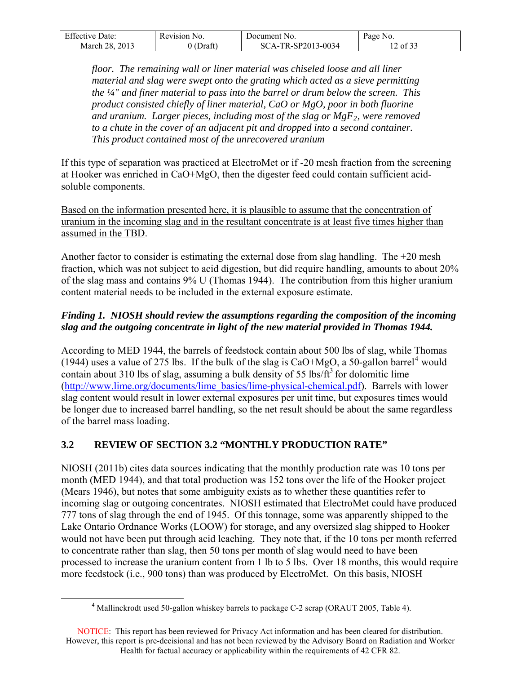| <b>Effective Date:</b> | Revision No. | Document No.       | Page No. |
|------------------------|--------------|--------------------|----------|
| March 28, 2013         | 0 (Draft`    | SCA-TR-SP2013-0034 | of $33$  |

*floor. The remaining wall or liner material was chiseled loose and all liner material and slag were swept onto the grating which acted as a sieve permitting the ¼" and finer material to pass into the barrel or drum below the screen. This product consisted chiefly of liner material, CaO or MgO, poor in both fluorine and uranium. Larger pieces, including most of the slag or MgF<sub>2</sub>, were removed to a chute in the cover of an adjacent pit and dropped into a second container. This product contained most of the unrecovered uranium* 

If this type of separation was practiced at ElectroMet or if -20 mesh fraction from the screening at Hooker was enriched in CaO+MgO, then the digester feed could contain sufficient acidsoluble components.

Based on the information presented here, it is plausible to assume that the concentration of uranium in the incoming slag and in the resultant concentrate is at least five times higher than assumed in the TBD.

Another factor to consider is estimating the external dose from slag handling. The +20 mesh fraction, which was not subject to acid digestion, but did require handling, amounts to about 20% of the slag mass and contains 9% U (Thomas 1944). The contribution from this higher uranium content material needs to be included in the external exposure estimate.

## *Finding 1. NIOSH should review the assumptions regarding the composition of the incoming slag and the outgoing concentrate in light of the new material provided in Thomas 1944.*

According to MED 1944, the barrels of feedstock contain about 500 lbs of slag, while Thomas (19[4](#page-11-1)4) uses a value of 275 lbs. If the bulk of the slag is  $CaO+MgO$ , a 50-gallon barrel<sup>4</sup> would contain about 310 lbs of slag, assuming a bulk density of 55 lbs/ $ft<sup>3</sup>$  for dolomitic lime ([http://www.lime.org/documents/lime\\_basics/lime-physical-chemical.pdf](http://www.lime.org/documents/lime_basics/lime-physical-chemical.pdf)). Barrels with lower slag content would result in lower external exposures per unit time, but exposures times would be longer due to increased barrel handling, so the net result should be about the same regardless of the barrel mass loading.

## <span id="page-11-0"></span>**3.2 REVIEW OF SECTION 3.2 "MONTHLY PRODUCTION RATE"**

NIOSH (2011b) cites data sources indicating that the monthly production rate was 10 tons per month (MED 1944), and that total production was 152 tons over the life of the Hooker project (Mears 1946), but notes that some ambiguity exists as to whether these quantities refer to incoming slag or outgoing concentrates. NIOSH estimated that ElectroMet could have produced 777 tons of slag through the end of 1945. Of this tonnage, some was apparently shipped to the Lake Ontario Ordnance Works (LOOW) for storage, and any oversized slag shipped to Hooker would not have been put through acid leaching. They note that, if the 10 tons per month referred to concentrate rather than slag, then 50 tons per month of slag would need to have been processed to increase the uranium content from 1 lb to 5 lbs. Over 18 months, this would require more feedstock (i.e., 900 tons) than was produced by ElectroMet. On this basis, NIOSH

<span id="page-11-1"></span> $\frac{1}{4}$  $4$  Mallinckrodt used 50-gallon whiskey barrels to package C-2 scrap (ORAUT 2005, Table 4).

NOTICE: This report has been reviewed for Privacy Act information and has been cleared for distribution. However, this report is pre-decisional and has not been reviewed by the Advisory Board on Radiation and Worker Health for factual accuracy or applicability within the requirements of 42 CFR 82.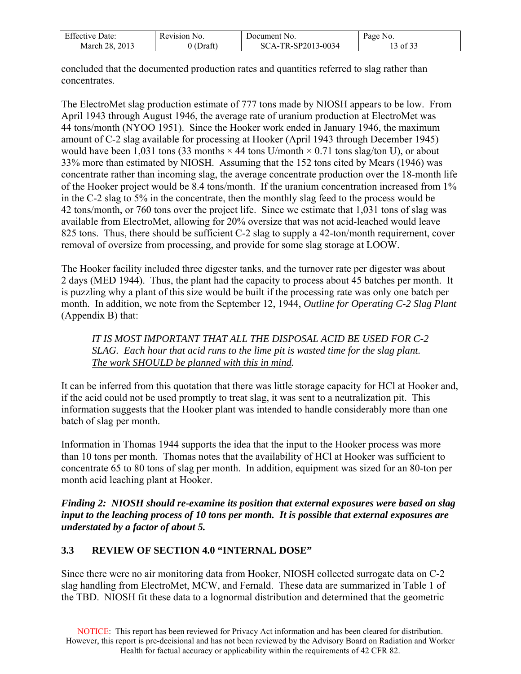| <b>Effective Date:</b> | $Rev1S10n_1$<br>NO. | Document No.                | Page<br>NO. |
|------------------------|---------------------|-----------------------------|-------------|
| 2013<br>March 28.      | Draft               | $-TR-SP2013-0034$<br>$SCA-$ | of 33       |

concluded that the documented production rates and quantities referred to slag rather than concentrates.

The ElectroMet slag production estimate of 777 tons made by NIOSH appears to be low. From April 1943 through August 1946, the average rate of uranium production at ElectroMet was 44 tons/month (NYOO 1951). Since the Hooker work ended in January 1946, the maximum amount of C-2 slag available for processing at Hooker (April 1943 through December 1945) would have been 1,031 tons (33 months  $\times$  44 tons U/month  $\times$  0.71 tons slag/ton U), or about 33% more than estimated by NIOSH. Assuming that the 152 tons cited by Mears (1946) was concentrate rather than incoming slag, the average concentrate production over the 18-month life of the Hooker project would be 8.4 tons/month. If the uranium concentration increased from 1% in the C-2 slag to 5% in the concentrate, then the monthly slag feed to the process would be 42 tons/month, or 760 tons over the project life. Since we estimate that 1,031 tons of slag was available from ElectroMet, allowing for 20% oversize that was not acid-leached would leave 825 tons. Thus, there should be sufficient C-2 slag to supply a 42-ton/month requirement, cover removal of oversize from processing, and provide for some slag storage at LOOW.

The Hooker facility included three digester tanks, and the turnover rate per digester was about 2 days (MED 1944). Thus, the plant had the capacity to process about 45 batches per month. It is puzzling why a plant of this size would be built if the processing rate was only one batch per month. In addition, we note from the September 12, 1944, *Outline for Operating C-2 Slag Plant*  (Appendix B) that:

*IT IS MOST IMPORTANT THAT ALL THE DISPOSAL ACID BE USED FOR C-2 SLAG. Each hour that acid runs to the lime pit is wasted time for the slag plant. The work SHOULD be planned with this in mind.* 

It can be inferred from this quotation that there was little storage capacity for HCl at Hooker and, if the acid could not be used promptly to treat slag, it was sent to a neutralization pit. This information suggests that the Hooker plant was intended to handle considerably more than one batch of slag per month.

Information in Thomas 1944 supports the idea that the input to the Hooker process was more than 10 tons per month. Thomas notes that the availability of HCl at Hooker was sufficient to concentrate 65 to 80 tons of slag per month. In addition, equipment was sized for an 80-ton per month acid leaching plant at Hooker.

*Finding 2: NIOSH should re-examine its position that external exposures were based on slag input to the leaching process of 10 tons per month. It is possible that external exposures are understated by a factor of about 5.* 

### <span id="page-12-0"></span>**3.3 REVIEW OF SECTION 4.0 "INTERNAL DOSE"**

Since there were no air monitoring data from Hooker, NIOSH collected surrogate data on C-2 slag handling from ElectroMet, MCW, and Fernald. These data are summarized in Table 1 of the TBD. NIOSH fit these data to a lognormal distribution and determined that the geometric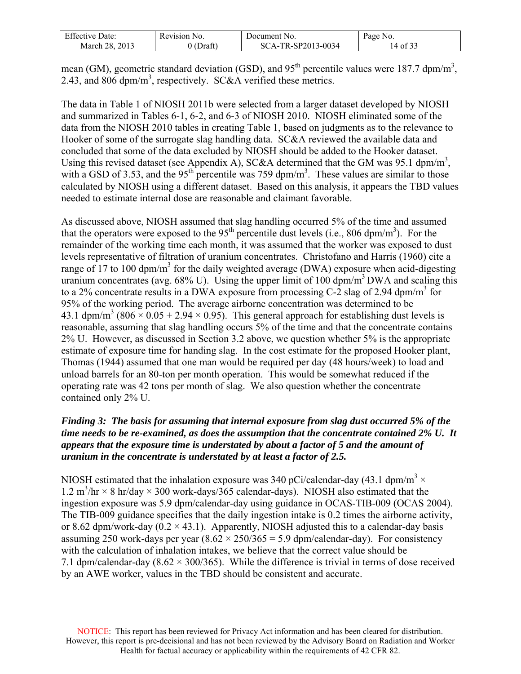| $\Gamma$ $\alpha$<br>Date:<br>- ++^^+<br>enecu | N <sub>O</sub><br>Revision 1 | Document No.                              | Page<br>N <sub>0</sub>                     |
|------------------------------------------------|------------------------------|-------------------------------------------|--------------------------------------------|
| 2013<br>າຂ<br>March                            | $\sim$<br>Draft              | $R$ -SP2012<br>3-0034<br>SC<br>$\Delta$ - | $\sim$ $\sim$ $\sim$<br>$\cdot$ of 35<br>⊣ |

mean (GM), geometric standard deviation (GSD), and  $95<sup>th</sup>$  percentile values were 187.7 dpm/m<sup>3</sup>, 2.43, and 806 dpm/m<sup>3</sup>, respectively. SC&A verified these metrics.

The data in Table 1 of NIOSH 2011b were selected from a larger dataset developed by NIOSH and summarized in Tables 6-1, 6-2, and 6-3 of NIOSH 2010. NIOSH eliminated some of the data from the NIOSH 2010 tables in creating Table 1, based on judgments as to the relevance to Hooker of some of the surrogate slag handling data. SC&A reviewed the available data and concluded that some of the data excluded by NIOSH should be added to the Hooker dataset. Using this revised dataset (see Appendix A), SC&A determined that the GM was 95.1 dpm/m<sup>3</sup>, with a GSD of 3.53, and the 95<sup>th</sup> percentile was 759 dpm/m<sup>3</sup>. These values are similar to those calculated by NIOSH using a different dataset. Based on this analysis, it appears the TBD values needed to estimate internal dose are reasonable and claimant favorable.

As discussed above, NIOSH assumed that slag handling occurred 5% of the time and assumed that the operators were exposed to the 95<sup>th</sup> percentile dust levels (i.e., 806 dpm/m<sup>3</sup>). For the remainder of the working time each month, it was assumed that the worker was exposed to dust levels representative of filtration of uranium concentrates. Christofano and Harris (1960) cite a range of 17 to 100 dpm/m<sup>3</sup> for the daily weighted average (DWA) exposure when acid-digesting uranium concentrates (avg. 68% U). Using the upper limit of 100 dpm/m<sup>3</sup> DWA and scaling this to a 2% concentrate results in a DWA exposure from processing C-2 slag of 2.94 dpm/m<sup>3</sup> for 95% of the working period. The average airborne concentration was determined to be 43.1 dpm/m<sup>3</sup> (806  $\times$  0.05 + 2.94  $\times$  0.95). This general approach for establishing dust levels is reasonable, assuming that slag handling occurs 5% of the time and that the concentrate contains 2% U. However, as discussed in Section 3.2 above, we question whether 5% is the appropriate estimate of exposure time for handing slag. In the cost estimate for the proposed Hooker plant, Thomas (1944) assumed that one man would be required per day (48 hours/week) to load and unload barrels for an 80-ton per month operation. This would be somewhat reduced if the operating rate was 42 tons per month of slag. We also question whether the concentrate contained only 2% U.

### *Finding 3: The basis for assuming that internal exposure from slag dust occurred 5% of the time needs to be re-examined, as does the assumption that the concentrate contained 2% U. It appears that the exposure time is understated by about a factor of 5 and the amount of uranium in the concentrate is understated by at least a factor of 2.5.*

NIOSH estimated that the inhalation exposure was 340 pCi/calendar-day (43.1 dpm/m<sup>3</sup>  $\times$ 1.2 m<sup>3</sup>/hr  $\times$  8 hr/day  $\times$  300 work-days/365 calendar-days). NIOSH also estimated that the ingestion exposure was 5.9 dpm/calendar-day using guidance in OCAS-TIB-009 (OCAS 2004). The TIB-009 guidance specifies that the daily ingestion intake is 0.2 times the airborne activity, or 8.62 dpm/work-day  $(0.2 \times 43.1)$ . Apparently, NIOSH adjusted this to a calendar-day basis assuming 250 work-days per year  $(8.62 \times 250/365 = 5.9 \text{ dpm/calendar-day})$ . For consistency with the calculation of inhalation intakes, we believe that the correct value should be 7.1 dpm/calendar-day  $(8.62 \times 300/365)$ . While the difference is trivial in terms of dose received by an AWE worker, values in the TBD should be consistent and accurate.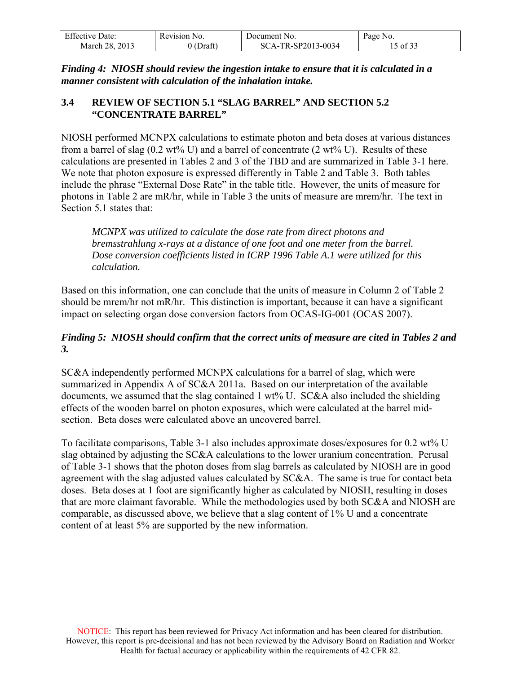| <b>Effective Date:</b> | Revision No. | Document No.       | Page No. |
|------------------------|--------------|--------------------|----------|
| March 28, 2013         | $0$ (Draft)  | SCA-TR-SP2013-0034 | 15 of 33 |

*Finding 4: NIOSH should review the ingestion intake to ensure that it is calculated in a manner consistent with calculation of the inhalation intake.* 

## <span id="page-14-0"></span>**3.4 REVIEW OF SECTION 5.1 "SLAG BARREL" AND SECTION 5.2 "CONCENTRATE BARREL"**

NIOSH performed MCNPX calculations to estimate photon and beta doses at various distances from a barrel of slag  $(0.2 \text{ wt\% U})$  and a barrel of concentrate  $(2 \text{ wt\% U})$ . Results of these calculations are presented in Tables 2 and 3 of the TBD and are summarized in Table 3-1 here. We note that photon exposure is expressed differently in Table 2 and Table 3. Both tables include the phrase "External Dose Rate" in the table title. However, the units of measure for photons in Table 2 are mR/hr, while in Table 3 the units of measure are mrem/hr. The text in Section 5.1 states that:

*MCNPX was utilized to calculate the dose rate from direct photons and bremsstrahlung x-rays at a distance of one foot and one meter from the barrel. Dose conversion coefficients listed in ICRP 1996 Table A.1 were utilized for this calculation.* 

Based on this information, one can conclude that the units of measure in Column 2 of Table 2 should be mrem/hr not mR/hr. This distinction is important, because it can have a significant impact on selecting organ dose conversion factors from OCAS-IG-001 (OCAS 2007).

### *Finding 5: NIOSH should confirm that the correct units of measure are cited in Tables 2 and 3.*

SC&A independently performed MCNPX calculations for a barrel of slag, which were summarized in Appendix A of SC&A 2011a. Based on our interpretation of the available documents, we assumed that the slag contained 1 wt% U. SC&A also included the shielding effects of the wooden barrel on photon exposures, which were calculated at the barrel midsection. Beta doses were calculated above an uncovered barrel.

To facilitate comparisons, Table 3-1 also includes approximate doses/exposures for 0.2 wt% U slag obtained by adjusting the SC&A calculations to the lower uranium concentration. Perusal of Table 3-1 shows that the photon doses from slag barrels as calculated by NIOSH are in good agreement with the slag adjusted values calculated by SC&A. The same is true for contact beta doses. Beta doses at 1 foot are significantly higher as calculated by NIOSH, resulting in doses that are more claimant favorable. While the methodologies used by both SC&A and NIOSH are comparable, as discussed above, we believe that a slag content of 1% U and a concentrate content of at least 5% are supported by the new information.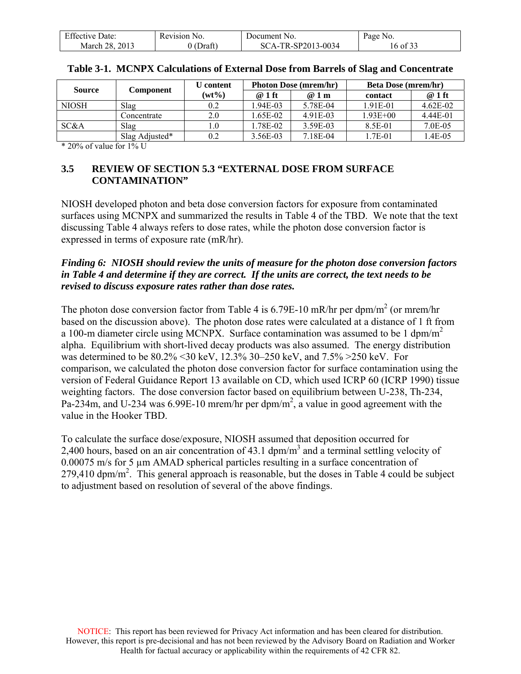| <b>Effective Date:</b> | Revision<br>No. | Document No.       | Page No.     |
|------------------------|-----------------|--------------------|--------------|
| March 28, 2013         | 'Draft<br>00    | SCA-TR-SP2013-0034 | $16$ of $3.$ |

| <b>Source</b> | Component      | U content | <b>Photon Dose (mrem/hr)</b> |          | <b>Beta Dose (mrem/hr)</b> |          |
|---------------|----------------|-----------|------------------------------|----------|----------------------------|----------|
|               |                | $(wt\%)$  | @ 1 ft                       | @1m      | contact                    | $@1$ ft  |
| <b>NIOSH</b>  | Slag           | 0.2       | $.94E - 0.3$                 | 5.78E-04 | 1.91E-01                   | 4.62E-02 |
|               | Concentrate    | 2.0       | $.65E-02$                    | 4.91E-03 | $1.93E + 00$               | 4.44E-01 |
| SC&A          | Slag           | l.O       | .78E-02                      | 3.59E-03 | 8.5E-01                    | 7.0E-05  |
|               | Slag Adjusted* | 0.2       | 3.56E-03                     | 7.18E-04 | 1.7E-01                    | 1.4E-05  |

| Table 3-1. MCNPX Calculations of External Dose from Barrels of Slag and Concentrate |
|-------------------------------------------------------------------------------------|
|-------------------------------------------------------------------------------------|

 $*$  20% of value for 1% U

### <span id="page-15-0"></span>**3.5 REVIEW OF SECTION 5.3 "EXTERNAL DOSE FROM SURFACE CONTAMINATION"**

NIOSH developed photon and beta dose conversion factors for exposure from contaminated surfaces using MCNPX and summarized the results in Table 4 of the TBD. We note that the text discussing Table 4 always refers to dose rates, while the photon dose conversion factor is expressed in terms of exposure rate (mR/hr).

### *Finding 6: NIOSH should review the units of measure for the photon dose conversion factors in Table 4 and determine if they are correct. If the units are correct, the text needs to be revised to discuss exposure rates rather than dose rates.*

The photon dose conversion factor from Table 4 is 6.79E-10 mR/hr per dpm/m<sup>2</sup> (or mrem/hr based on the discussion above). The photon dose rates were calculated at a distance of 1 ft from a 100-m diameter circle using MCNPX. Surface contamination was assumed to be 1 dpm/m<sup>2</sup> alpha. Equilibrium with short-lived decay products was also assumed. The energy distribution was determined to be 80.2% <30 keV, 12.3% 30–250 keV, and 7.5% >250 keV. For comparison, we calculated the photon dose conversion factor for surface contamination using the version of Federal Guidance Report 13 available on CD, which used ICRP 60 (ICRP 1990) tissue weighting factors. The dose conversion factor based on equilibrium between U-238, Th-234, Pa-234m, and U-234 was 6.99E-10 mrem/hr per dpm/m<sup>2</sup>, a value in good agreement with the value in the Hooker TBD.

To calculate the surface dose/exposure, NIOSH assumed that deposition occurred for 2,400 hours, based on an air concentration of 43.1  $dpm/m<sup>3</sup>$  and a terminal settling velocity of 0.00075 m/s for 5 µm AMAD spherical particles resulting in a surface concentration of  $279,410$  dpm/m<sup>2</sup>. This general approach is reasonable, but the doses in Table 4 could be subject to adjustment based on resolution of several of the above findings.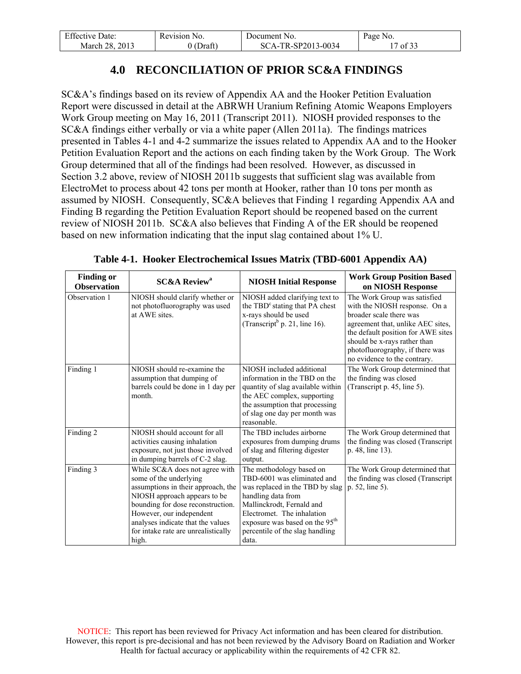| <b>Effective Date:</b> | Revision No. | Document No.       | Page No. |
|------------------------|--------------|--------------------|----------|
| March 28, 2013         | $0$ (Draft)  | SCA-TR-SP2013-0034 | 7 of 33  |

## **4.0 RECONCILIATION OF PRIOR SC&A FINDINGS**

<span id="page-16-0"></span>SC&A's findings based on its review of Appendix AA and the Hooker Petition Evaluation Report were discussed in detail at the ABRWH Uranium Refining Atomic Weapons Employers Work Group meeting on May 16, 2011 (Transcript 2011). NIOSH provided responses to the SC&A findings either verbally or via a white paper (Allen 2011a). The findings matrices presented in Tables 4-1 and 4-2 summarize the issues related to Appendix AA and to the Hooker Petition Evaluation Report and the actions on each finding taken by the Work Group. The Work Group determined that all of the findings had been resolved. However, as discussed in Section 3.2 above, review of NIOSH 2011b suggests that sufficient slag was available from ElectroMet to process about 42 tons per month at Hooker, rather than 10 tons per month as assumed by NIOSH. Consequently, SC&A believes that Finding 1 regarding Appendix AA and Finding B regarding the Petition Evaluation Report should be reopened based on the current review of NIOSH 2011b. SC&A also believes that Finding A of the ER should be reopened based on new information indicating that the input slag contained about 1% U.

| <b>Finding or</b><br><b>Observation</b> | <b>SC&amp;A Review<sup>a</sup></b>                                                                                                                                                                                                                                                   | <b>NIOSH Initial Response</b>                                                                                                                                                                                                                                         | <b>Work Group Position Based</b><br>on NIOSH Response                                                                                                                                                                                                                  |
|-----------------------------------------|--------------------------------------------------------------------------------------------------------------------------------------------------------------------------------------------------------------------------------------------------------------------------------------|-----------------------------------------------------------------------------------------------------------------------------------------------------------------------------------------------------------------------------------------------------------------------|------------------------------------------------------------------------------------------------------------------------------------------------------------------------------------------------------------------------------------------------------------------------|
| Observation 1                           | NIOSH should clarify whether or<br>not photofluorography was used<br>at AWE sites.                                                                                                                                                                                                   | NIOSH added clarifying text to<br>the TBD <sup>c</sup> stating that PA chest<br>x-rays should be used<br>(Transcript <sup>b</sup> p. 21, line 16).                                                                                                                    | The Work Group was satisfied<br>with the NIOSH response. On a<br>broader scale there was<br>agreement that, unlike AEC sites,<br>the default position for AWE sites<br>should be x-rays rather than<br>photofluorography, if there was<br>no evidence to the contrary. |
| Finding 1                               | NIOSH should re-examine the<br>assumption that dumping of<br>barrels could be done in 1 day per<br>month.                                                                                                                                                                            | NIOSH included additional<br>information in the TBD on the<br>quantity of slag available within<br>the AEC complex, supporting<br>the assumption that processing<br>of slag one day per month was<br>reasonable.                                                      | The Work Group determined that<br>the finding was closed<br>(Transcript p. 45, line 5).                                                                                                                                                                                |
| Finding 2                               | NIOSH should account for all<br>activities causing inhalation<br>exposure, not just those involved<br>in dumping barrels of C-2 slag.                                                                                                                                                | The TBD includes airborne<br>exposures from dumping drums<br>of slag and filtering digester<br>output.                                                                                                                                                                | The Work Group determined that<br>the finding was closed (Transcript)<br>p. 48, line 13).                                                                                                                                                                              |
| Finding 3                               | While SC&A does not agree with<br>some of the underlying<br>assumptions in their approach, the<br>NIOSH approach appears to be<br>bounding for dose reconstruction.<br>However, our independent<br>analyses indicate that the values<br>for intake rate are unrealistically<br>high. | The methodology based on<br>TBD-6001 was eliminated and<br>was replaced in the TBD by slag<br>handling data from<br>Mallinckrodt, Fernald and<br>Electromet. The inhalation<br>exposure was based on the 95 <sup>th</sup><br>percentile of the slag handling<br>data. | The Work Group determined that<br>the finding was closed (Transcript<br>p. 52, line 5).                                                                                                                                                                                |

**Table 4-1. Hooker Electrochemical Issues Matrix (TBD-6001 Appendix AA)**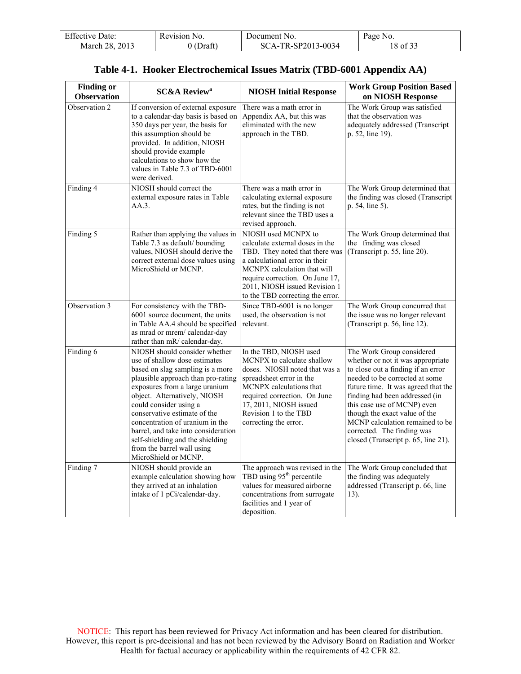| <b>Effective Date:</b> | Revision No. | Document No.       | Page No. |
|------------------------|--------------|--------------------|----------|
| March 28, 2013         | (Draft)      | SCA-TR-SP2013-0034 | 8 of 33  |

|  |  | Table 4-1. Hooker Electrochemical Issues Matrix (TBD-6001 Appendix AA) |  |  |  |
|--|--|------------------------------------------------------------------------|--|--|--|
|--|--|------------------------------------------------------------------------|--|--|--|

| <b>Finding or</b><br><b>Observation</b> | <b>SC&amp;A Review<sup>a</sup></b>                                                                                                                                                                                                                                                                                                                                                                                                       | <b>NIOSH Initial Response</b>                                                                                                                                                                                                                                     | <b>Work Group Position Based</b><br>on NIOSH Response                                                                                                                                                                                                                                                                                                                                   |
|-----------------------------------------|------------------------------------------------------------------------------------------------------------------------------------------------------------------------------------------------------------------------------------------------------------------------------------------------------------------------------------------------------------------------------------------------------------------------------------------|-------------------------------------------------------------------------------------------------------------------------------------------------------------------------------------------------------------------------------------------------------------------|-----------------------------------------------------------------------------------------------------------------------------------------------------------------------------------------------------------------------------------------------------------------------------------------------------------------------------------------------------------------------------------------|
| Observation 2                           | If conversion of external exposure<br>to a calendar-day basis is based on<br>350 days per year, the basis for<br>this assumption should be<br>provided. In addition, NIOSH<br>should provide example<br>calculations to show how the<br>values in Table 7.3 of TBD-6001<br>were derived.                                                                                                                                                 | There was a math error in<br>Appendix AA, but this was<br>eliminated with the new<br>approach in the TBD.                                                                                                                                                         | The Work Group was satisfied<br>that the observation was<br>adequately addressed (Transcript<br>p. 52, line 19).                                                                                                                                                                                                                                                                        |
| Finding 4                               | NIOSH should correct the<br>external exposure rates in Table<br>AA.3.                                                                                                                                                                                                                                                                                                                                                                    | There was a math error in<br>calculating external exposure<br>rates, but the finding is not<br>relevant since the TBD uses a<br>revised approach.                                                                                                                 | The Work Group determined that<br>the finding was closed (Transcript<br>p. 54, line 5).                                                                                                                                                                                                                                                                                                 |
| Finding 5                               | Rather than applying the values in<br>Table 7.3 as default/ bounding<br>values, NIOSH should derive the<br>correct external dose values using<br>MicroShield or MCNP.                                                                                                                                                                                                                                                                    | NIOSH used MCNPX to<br>calculate external doses in the<br>TBD. They noted that there was<br>a calculational error in their<br>MCNPX calculation that will<br>require correction. On June 17,<br>2011, NIOSH issued Revision 1<br>to the TBD correcting the error. | The Work Group determined that<br>the finding was closed<br>(Transcript p. 55, line 20).                                                                                                                                                                                                                                                                                                |
| Observation 3                           | For consistency with the TBD-<br>6001 source document, the units<br>in Table AA.4 should be specified<br>as mrad or mrem/calendar-day<br>rather than mR/ calendar-day.                                                                                                                                                                                                                                                                   | Since TBD-6001 is no longer<br>used, the observation is not<br>relevant.                                                                                                                                                                                          | The Work Group concurred that<br>the issue was no longer relevant<br>(Transcript p. 56, line 12).                                                                                                                                                                                                                                                                                       |
| Finding 6                               | NIOSH should consider whether<br>use of shallow dose estimates<br>based on slag sampling is a more<br>plausible approach than pro-rating<br>exposures from a large uranium<br>object. Alternatively, NIOSH<br>could consider using a<br>conservative estimate of the<br>concentration of uranium in the<br>barrel, and take into consideration<br>self-shielding and the shielding<br>from the barrel wall using<br>MicroShield or MCNP. | In the TBD, NIOSH used<br>MCNPX to calculate shallow<br>doses. NIOSH noted that was a<br>spreadsheet error in the<br>MCNPX calculations that<br>required correction. On June<br>17, 2011, NIOSH issued<br>Revision 1 to the TBD<br>correcting the error.          | The Work Group considered<br>whether or not it was appropriate<br>to close out a finding if an error<br>needed to be corrected at some<br>future time. It was agreed that the<br>finding had been addressed (in<br>this case use of MCNP) even<br>though the exact value of the<br>MCNP calculation remained to be<br>corrected. The finding was<br>closed (Transcript p. 65, line 21). |
| Finding 7                               | NIOSH should provide an<br>example calculation showing how<br>they arrived at an inhalation<br>intake of 1 pCi/calendar-day.                                                                                                                                                                                                                                                                                                             | The approach was revised in the<br>TBD using 95 <sup>th</sup> percentile<br>values for measured airborne<br>concentrations from surrogate<br>facilities and 1 year of<br>deposition.                                                                              | The Work Group concluded that<br>the finding was adequately<br>addressed (Transcript p. 66, line<br>13).                                                                                                                                                                                                                                                                                |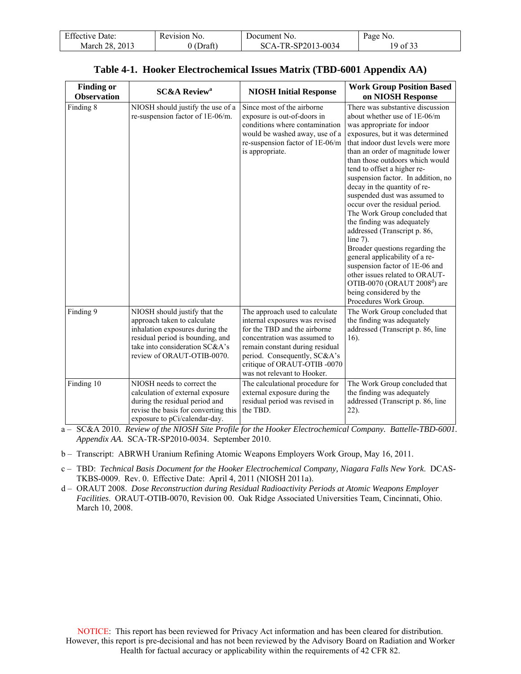| <b>Effective Date:</b> | Revision No. | Document No.       | Page No. |
|------------------------|--------------|--------------------|----------|
| March 28, 2013         | J (Draft)    | SCA-TR-SP2013-0034 | 19 of 33 |

| <b>Finding or</b><br><b>Observation</b> | <b>SC&amp;A Review<sup>a</sup></b>                                                                                                                                                                  | <b>NIOSH Initial Response</b>                                                                                                                                                                                                                                     | <b>Work Group Position Based</b><br>on NIOSH Response                                                                                                                                                                                                                                                                                                                                                                                                                                                                                                                                                                                                                                                                                                                 |
|-----------------------------------------|-----------------------------------------------------------------------------------------------------------------------------------------------------------------------------------------------------|-------------------------------------------------------------------------------------------------------------------------------------------------------------------------------------------------------------------------------------------------------------------|-----------------------------------------------------------------------------------------------------------------------------------------------------------------------------------------------------------------------------------------------------------------------------------------------------------------------------------------------------------------------------------------------------------------------------------------------------------------------------------------------------------------------------------------------------------------------------------------------------------------------------------------------------------------------------------------------------------------------------------------------------------------------|
| Finding 8                               | NIOSH should justify the use of a<br>re-suspension factor of 1E-06/m.                                                                                                                               | Since most of the airborne<br>exposure is out-of-doors in<br>conditions where contamination<br>would be washed away, use of a<br>re-suspension factor of 1E-06/m<br>is appropriate.                                                                               | There was substantive discussion<br>about whether use of 1E-06/m<br>was appropriate for indoor<br>exposures, but it was determined<br>that indoor dust levels were more<br>than an order of magnitude lower<br>than those outdoors which would<br>tend to offset a higher re-<br>suspension factor. In addition, no<br>decay in the quantity of re-<br>suspended dust was assumed to<br>occur over the residual period.<br>The Work Group concluded that<br>the finding was adequately<br>addressed (Transcript p. 86,<br>line $7$ ).<br>Broader questions regarding the<br>general applicability of a re-<br>suspension factor of 1E-06 and<br>other issues related to ORAUT-<br>OTIB-0070 (ORAUT $2008d$ ) are<br>being considered by the<br>Procedures Work Group. |
| Finding 9                               | NIOSH should justify that the<br>approach taken to calculate<br>inhalation exposures during the<br>residual period is bounding, and<br>take into consideration SC&A's<br>review of ORAUT-OTIB-0070. | The approach used to calculate<br>internal exposures was revised<br>for the TBD and the airborne<br>concentration was assumed to<br>remain constant during residual<br>period. Consequently, SC&A's<br>critique of ORAUT-OTIB-0070<br>was not relevant to Hooker. | The Work Group concluded that<br>the finding was adequately<br>addressed (Transcript p. 86, line<br>$16$ ).                                                                                                                                                                                                                                                                                                                                                                                                                                                                                                                                                                                                                                                           |
| Finding 10                              | NIOSH needs to correct the<br>calculation of external exposure<br>during the residual period and<br>revise the basis for converting this<br>exposure to pCi/calendar-day.                           | The calculational procedure for<br>external exposure during the<br>residual period was revised in<br>the TBD.                                                                                                                                                     | The Work Group concluded that<br>the finding was adequately<br>addressed (Transcript p. 86, line<br>22).                                                                                                                                                                                                                                                                                                                                                                                                                                                                                                                                                                                                                                                              |

#### **Table 4-1. Hooker Electrochemical Issues Matrix (TBD-6001 Appendix AA)**

a – SC&A 2010. *Review of the NIOSH Site Profile for the Hooker Electrochemical Company. Battelle-TBD-6001. Appendix AA*. SCA-TR-SP2010-0034. September 2010.

- b Transcript: ABRWH Uranium Refining Atomic Weapons Employers Work Group, May 16, 2011.
- c TBD: *Technical Basis Document for the Hooker Electrochemical Company, Niagara Falls New York*. DCAS-TKBS-0009. Rev. 0. Effective Date: April 4, 2011 (NIOSH 2011a).
- d ORAUT 2008. *Dose Reconstruction during Residual Radioactivity Periods at Atomic Weapons Employer Facilities*. ORAUT-OTIB-0070, Revision 00. Oak Ridge Associated Universities Team, Cincinnati, Ohio. March 10, 2008.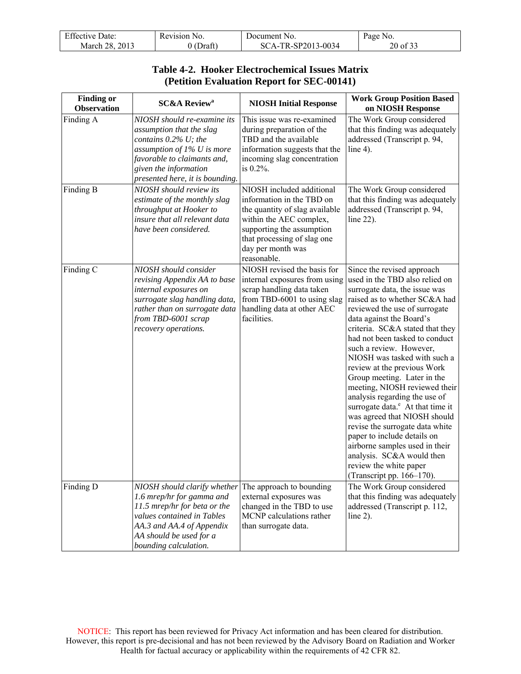| <b>Effective Date:</b> | Revision No. | Document No.       | Page No. |
|------------------------|--------------|--------------------|----------|
| March 28, 2013         | 0 (Draft)    | SCA-TR-SP2013-0034 | 20 of 33 |

## **Table 4-2. Hooker Electrochemical Issues Matrix (Petition Evaluation Report for SEC-00141)**

| <b>Finding or</b><br><b>Observation</b> | <b>SC&amp;A Review<sup>a</sup></b>                                                                                                                                                                          | <b>NIOSH Initial Response</b>                                                                                                                                                                                       | <b>Work Group Position Based</b><br>on NIOSH Response                                                                                                                                                                                                                                                                                                                                                                                                                                                                                                                                                                                                                                                                               |
|-----------------------------------------|-------------------------------------------------------------------------------------------------------------------------------------------------------------------------------------------------------------|---------------------------------------------------------------------------------------------------------------------------------------------------------------------------------------------------------------------|-------------------------------------------------------------------------------------------------------------------------------------------------------------------------------------------------------------------------------------------------------------------------------------------------------------------------------------------------------------------------------------------------------------------------------------------------------------------------------------------------------------------------------------------------------------------------------------------------------------------------------------------------------------------------------------------------------------------------------------|
| Finding A                               | NIOSH should re-examine its<br>assumption that the slag<br>contains 0.2% U; the<br>assumption of $1\%$ U is more<br>favorable to claimants and,<br>given the information<br>presented here, it is bounding. | This issue was re-examined<br>during preparation of the<br>TBD and the available<br>information suggests that the<br>incoming slag concentration<br>is $0.2\%$ .                                                    | The Work Group considered<br>that this finding was adequately<br>addressed (Transcript p. 94,<br>line $4$ ).                                                                                                                                                                                                                                                                                                                                                                                                                                                                                                                                                                                                                        |
| Finding B                               | NIOSH should review its<br>estimate of the monthly slag<br>throughput at Hooker to<br>insure that all relevant data<br>have been considered.                                                                | NIOSH included additional<br>information in the TBD on<br>the quantity of slag available<br>within the AEC complex,<br>supporting the assumption<br>that processing of slag one<br>day per month was<br>reasonable. | The Work Group considered<br>that this finding was adequately<br>addressed (Transcript p. 94,<br>line $22$ ).                                                                                                                                                                                                                                                                                                                                                                                                                                                                                                                                                                                                                       |
| Finding C                               | NIOSH should consider<br>revising Appendix AA to base<br>internal exposures on<br>surrogate slag handling data,<br>rather than on surrogate data<br>from TBD-6001 scrap<br>recovery operations.             | NIOSH revised the basis for<br>internal exposures from using<br>scrap handling data taken<br>from TBD-6001 to using slag<br>handling data at other AEC<br>facilities.                                               | Since the revised approach<br>used in the TBD also relied on<br>surrogate data, the issue was<br>raised as to whether SC&A had<br>reviewed the use of surrogate<br>data against the Board's<br>criteria. SC&A stated that they<br>had not been tasked to conduct<br>such a review. However,<br>NIOSH was tasked with such a<br>review at the previous Work<br>Group meeting. Later in the<br>meeting, NIOSH reviewed their<br>analysis regarding the use of<br>surrogate data. <sup>e</sup> At that time it<br>was agreed that NIOSH should<br>revise the surrogate data white<br>paper to include details on<br>airborne samples used in their<br>analysis. SC&A would then<br>review the white paper<br>(Transcript pp. 166–170). |
| Finding D                               | NIOSH should clarify whether<br>1.6 mrep/hr for gamma and<br>11.5 mrep/hr for beta or the<br>values contained in Tables<br>AA.3 and AA.4 of Appendix<br>AA should be used for a<br>bounding calculation.    | The approach to bounding<br>external exposures was<br>changed in the TBD to use<br>MCNP calculations rather<br>than surrogate data.                                                                                 | The Work Group considered<br>that this finding was adequately<br>addressed (Transcript p. 112,<br>line $2$ ).                                                                                                                                                                                                                                                                                                                                                                                                                                                                                                                                                                                                                       |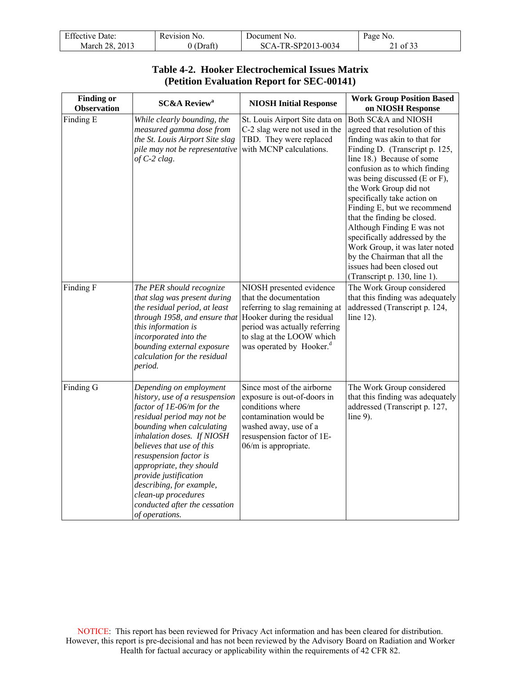| <b>Effective Date:</b> | Revision No.   | Document No.       | Page No. |
|------------------------|----------------|--------------------|----------|
| March 28, 2013         | (Draft`<br>0 ( | SCA-TR-SP2013-0034 | 21 of 33 |

### **Table 4-2. Hooker Electrochemical Issues Matrix (Petition Evaluation Report for SEC-00141)**

| <b>Finding or</b><br><b>Observation</b> | <b>SC&amp;A Review<sup>a</sup></b>                                                                                                                                                                                                                                                                                                                                                                | <b>NIOSH Initial Response</b>                                                                                                                                                                                            | <b>Work Group Position Based</b><br>on NIOSH Response                                                                                                                                                                                                                                                                                                                                                                                                                                                                                        |
|-----------------------------------------|---------------------------------------------------------------------------------------------------------------------------------------------------------------------------------------------------------------------------------------------------------------------------------------------------------------------------------------------------------------------------------------------------|--------------------------------------------------------------------------------------------------------------------------------------------------------------------------------------------------------------------------|----------------------------------------------------------------------------------------------------------------------------------------------------------------------------------------------------------------------------------------------------------------------------------------------------------------------------------------------------------------------------------------------------------------------------------------------------------------------------------------------------------------------------------------------|
| Finding E                               | While clearly bounding, the<br>measured gamma dose from<br>the St. Louis Airport Site slag<br>pile may not be representative<br>of $C-2$ clag.                                                                                                                                                                                                                                                    | St. Louis Airport Site data on<br>C-2 slag were not used in the<br>TBD. They were replaced<br>with MCNP calculations.                                                                                                    | Both SC&A and NIOSH<br>agreed that resolution of this<br>finding was akin to that for<br>Finding D. (Transcript p. 125,<br>line 18.) Because of some<br>confusion as to which finding<br>was being discussed (E or F),<br>the Work Group did not<br>specifically take action on<br>Finding E, but we recommend<br>that the finding be closed.<br>Although Finding E was not<br>specifically addressed by the<br>Work Group, it was later noted<br>by the Chairman that all the<br>issues had been closed out<br>(Transcript p. 130, line 1). |
| Finding F                               | The PER should recognize<br>that slag was present during<br>the residual period, at least<br>through 1958, and ensure that<br>this information is<br>incorporated into the<br>bounding external exposure<br>calculation for the residual<br>period.                                                                                                                                               | NIOSH presented evidence<br>that the documentation<br>referring to slag remaining at<br>Hooker during the residual<br>period was actually referring<br>to slag at the LOOW which<br>was operated by Hooker. <sup>d</sup> | The Work Group considered<br>that this finding was adequately<br>addressed (Transcript p. 124,<br>line $12$ ).                                                                                                                                                                                                                                                                                                                                                                                                                               |
| Finding G                               | Depending on employment<br>history, use of a resuspension<br>factor of 1E-06/m for the<br>residual period may not be<br>bounding when calculating<br>inhalation doses. If NIOSH<br>believes that use of this<br>resuspension factor is<br>appropriate, they should<br>provide justification<br>describing, for example,<br>clean-up procedures<br>conducted after the cessation<br>of operations. | Since most of the airborne<br>exposure is out-of-doors in<br>conditions where<br>contamination would be<br>washed away, use of a<br>resuspension factor of 1E-<br>06/m is appropriate.                                   | The Work Group considered<br>that this finding was adequately<br>addressed (Transcript p. 127,<br>line $9$ ).                                                                                                                                                                                                                                                                                                                                                                                                                                |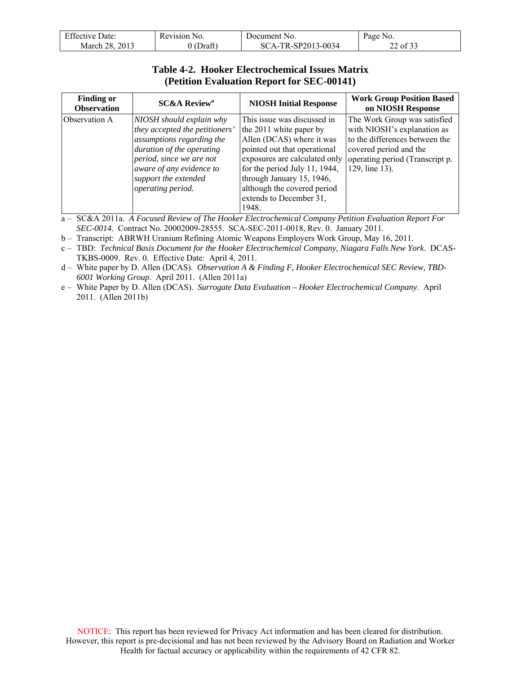| <b>Effective Date:</b> | Revision No. | Document No.       | Page No. |
|------------------------|--------------|--------------------|----------|
| March 28, 2013         | $0$ (Draft)  | SCA-TR-SP2013-0034 | 22 of 33 |

#### **Table 4-2. Hooker Electrochemical Issues Matrix (Petition Evaluation Report for SEC-00141)**

| <b>Finding or</b><br><b>Observation</b> | <b>SC&amp;A Review<sup>a</sup></b>                                                                                                                                                                                        | <b>NIOSH Initial Response</b>                                                                                                                                                                                                                                                         | <b>Work Group Position Based</b><br>on NIOSH Response                                                                                                                        |
|-----------------------------------------|---------------------------------------------------------------------------------------------------------------------------------------------------------------------------------------------------------------------------|---------------------------------------------------------------------------------------------------------------------------------------------------------------------------------------------------------------------------------------------------------------------------------------|------------------------------------------------------------------------------------------------------------------------------------------------------------------------------|
| Observation A                           | NIOSH should explain why<br>they accepted the petitioners'<br>assumptions regarding the<br>duration of the operating<br>period, since we are not<br>aware of any evidence to<br>support the extended<br>operating period. | This issue was discussed in<br>the 2011 white paper by<br>Allen (DCAS) where it was<br>pointed out that operational<br>exposures are calculated only<br>for the period July 11, 1944,<br>through January 15, 1946,<br>although the covered period<br>extends to December 31,<br>1948. | The Work Group was satisfied<br>with NIOSH's explanation as<br>to the differences between the<br>covered period and the<br>operating period (Transcript p.<br>129, line 13). |

a – SC&A 2011a. *A Focused Review of The Hooker Electrochemical Company Petition Evaluation Report For SEC-0014*. Contract No. 20002009-28555. SCA-SEC-2011-0018, Rev. 0. January 2011.

b – Transcript: ABRWH Uranium Refining Atomic Weapons Employers Work Group, May 16, 2011.

c – TBD: *Technical Basis Document for the Hooker Electrochemical Company, Niagara Falls New York*. DCAS-TKBS-0009. Rev. 0. Effective Date: April 4, 2011.

d – White paper by D. Allen (DCAS). *Observation A & Finding F, Hooker Electrochemical SEC Review, TBD-6001 Working Group*. April 2011. (Allen 2011a)

e – White Paper by D. Allen (DCAS). *Surrogate Data Evaluation – Hooker Electrochemical Company*. April 2011. (Allen 2011b)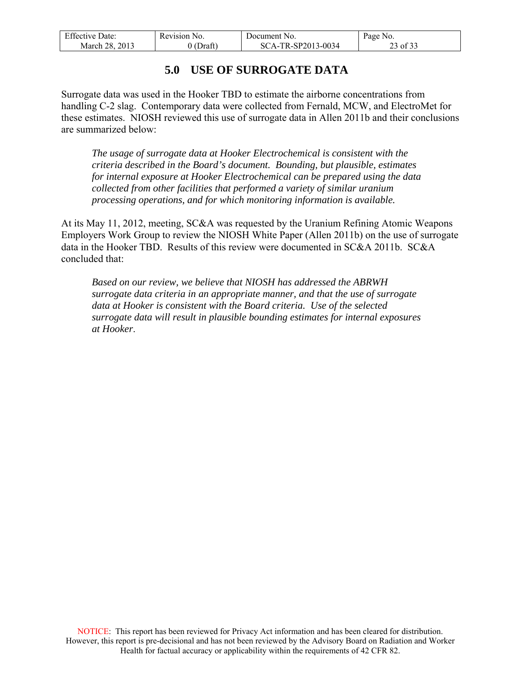| <b>Effective Date:</b> | Revision No. | Document No.       | Page No. |
|------------------------|--------------|--------------------|----------|
| March 28, 2013         | $0$ (Draft)  | SCA-TR-SP2013-0034 | 23 of 33 |

## **5.0 USE OF SURROGATE DATA**

<span id="page-22-0"></span>Surrogate data was used in the Hooker TBD to estimate the airborne concentrations from handling C-2 slag. Contemporary data were collected from Fernald, MCW, and ElectroMet for these estimates. NIOSH reviewed this use of surrogate data in Allen 2011b and their conclusions are summarized below:

*The usage of surrogate data at Hooker Electrochemical is consistent with the criteria described in the Board's document. Bounding, but plausible, estimates for internal exposure at Hooker Electrochemical can be prepared using the data collected from other facilities that performed a variety of similar uranium processing operations, and for which monitoring information is available.* 

At its May 11, 2012, meeting, SC&A was requested by the Uranium Refining Atomic Weapons Employers Work Group to review the NIOSH White Paper (Allen 2011b) on the use of surrogate data in the Hooker TBD. Results of this review were documented in SC&A 2011b. SC&A concluded that:

*Based on our review, we believe that NIOSH has addressed the ABRWH surrogate data criteria in an appropriate manner, and that the use of surrogate data at Hooker is consistent with the Board criteria. Use of the selected surrogate data will result in plausible bounding estimates for internal exposures at Hooker*.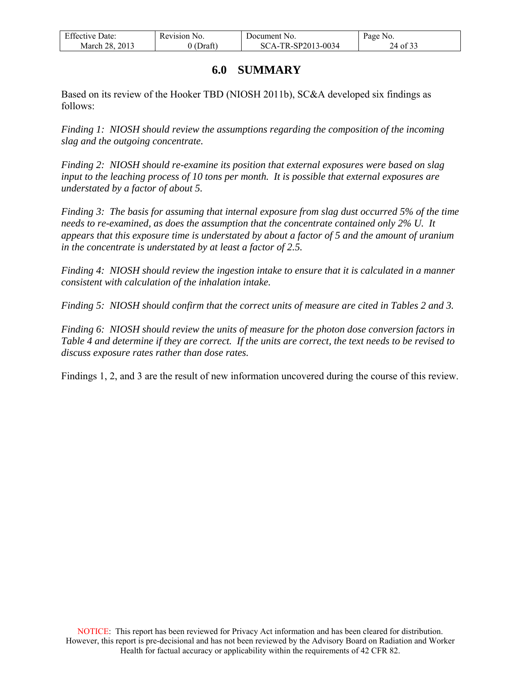| <b>Effective Date:</b> | Revision No. | Document No.       | Page No. |
|------------------------|--------------|--------------------|----------|
| March 28, 2013         | 0 (Draft)    | SCA-TR-SP2013-0034 | 24 of 33 |

## **6.0 SUMMARY**

<span id="page-23-0"></span>Based on its review of the Hooker TBD (NIOSH 2011b), SC&A developed six findings as follows:

*Finding 1: NIOSH should review the assumptions regarding the composition of the incoming slag and the outgoing concentrate.* 

*Finding 2: NIOSH should re-examine its position that external exposures were based on slag input to the leaching process of 10 tons per month. It is possible that external exposures are understated by a factor of about 5.* 

*Finding 3: The basis for assuming that internal exposure from slag dust occurred 5% of the time needs to re-examined, as does the assumption that the concentrate contained only 2% U. It appears that this exposure time is understated by about a factor of 5 and the amount of uranium in the concentrate is understated by at least a factor of 2.5.* 

*Finding 4: NIOSH should review the ingestion intake to ensure that it is calculated in a manner consistent with calculation of the inhalation intake.* 

*Finding 5: NIOSH should confirm that the correct units of measure are cited in Tables 2 and 3.* 

*Finding 6: NIOSH should review the units of measure for the photon dose conversion factors in Table 4 and determine if they are correct. If the units are correct, the text needs to be revised to discuss exposure rates rather than dose rates.* 

Findings 1, 2, and 3 are the result of new information uncovered during the course of this review.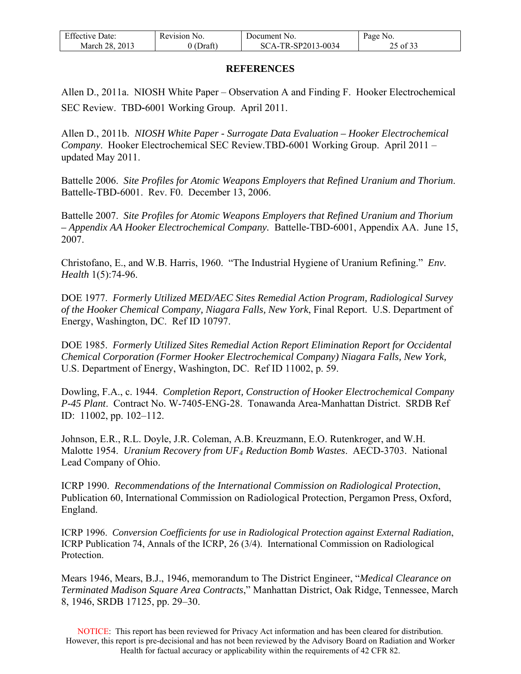| <b>Effective Date:</b> | Revision No. | Document No.       | Page No. |
|------------------------|--------------|--------------------|----------|
| March 28, 2013         | J (Draft)    | SCA-TR-SP2013-0034 | 25 of 33 |

#### **REFERENCES**

<span id="page-24-0"></span>Allen D., 2011a. NIOSH White Paper – Observation A and Finding F. Hooker Electrochemical SEC Review. TBD-6001 Working Group. April 2011.

Allen D., 2011b. *NIOSH White Paper - Surrogate Data Evaluation – Hooker Electrochemical Company*. Hooker Electrochemical SEC Review.TBD-6001 Working Group. April 2011 – updated May 2011.

Battelle 2006. *Site Profiles for Atomic Weapons Employers that Refined Uranium and Thorium*. Battelle-TBD-6001. Rev. F0. December 13, 2006.

Battelle 2007. *Site Profiles for Atomic Weapons Employers that Refined Uranium and Thorium – Appendix AA Hooker Electrochemical Company.* Battelle-TBD-6001, Appendix AA. June 15, 2007.

Christofano, E., and W.B. Harris, 1960. "The Industrial Hygiene of Uranium Refining." *Env. Health* 1(5):74-96.

DOE 1977. *Formerly Utilized MED/AEC Sites Remedial Action Program, Radiological Survey of the Hooker Chemical Company, Niagara Falls, New York*, Final Report. U.S. Department of Energy, Washington, DC. Ref ID 10797.

DOE 1985. *Formerly Utilized Sites Remedial Action Report Elimination Report for Occidental Chemical Corporation (Former Hooker Electrochemical Company) Niagara Falls, New York,*  U.S. Department of Energy, Washington, DC. Ref ID 11002, p. 59.

Dowling, F.A., c. 1944. *Completion Report, Construction of Hooker Electrochemical Company P-45 Plant*. Contract No. W-7405-ENG-28. Tonawanda Area-Manhattan District. SRDB Ref ID: 11002, pp. 102–112.

Johnson, E.R., R.L. Doyle, J.R. Coleman, A.B. Kreuzmann, E.O. Rutenkroger, and W.H. Malotte 1954. *Uranium Recovery from UF4 Reduction Bomb Wastes*. AECD-3703. National Lead Company of Ohio.

ICRP 1990. *Recommendations of the International Commission on Radiological Protection*, Publication 60, International Commission on Radiological Protection, Pergamon Press, Oxford, England.

ICRP 1996. *Conversion Coefficients for use in Radiological Protection against External Radiation*, ICRP Publication 74, Annals of the ICRP, 26 (3/4). International Commission on Radiological **Protection** 

Mears 1946, Mears, B.J., 1946, memorandum to The District Engineer, "*Medical Clearance on Terminated Madison Square Area Contracts*," Manhattan District, Oak Ridge, Tennessee, March 8, 1946, SRDB 17125, pp. 29–30.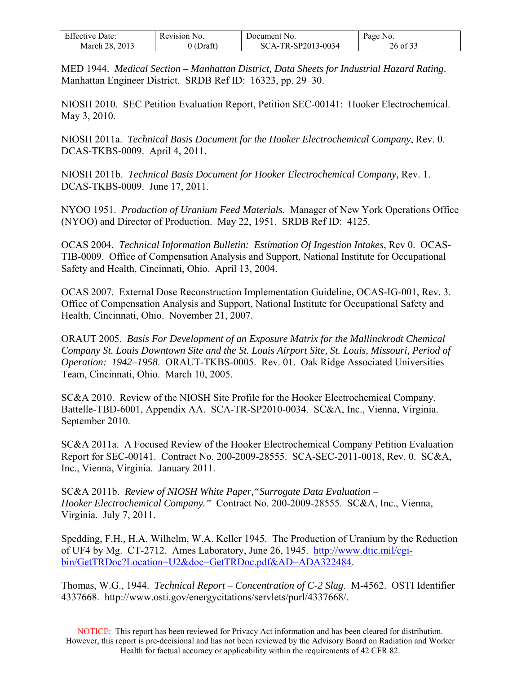| <b>Effective Date:</b> | Revision No. | Document No.       | Page<br>NO. |
|------------------------|--------------|--------------------|-------------|
| 2013<br>March 28.      | (Draft)      | SCA-TR-SP2013-0034 | 26 of 3:    |

MED 1944. *Medical Section – Manhattan District, Data Sheets for Industrial Hazard Rating*. Manhattan Engineer District. SRDB Ref ID: 16323, pp. 29–30.

NIOSH 2010. SEC Petition Evaluation Report, Petition SEC-00141: Hooker Electrochemical. May 3, 2010.

NIOSH 2011a. *Technical Basis Document for the Hooker Electrochemical Company*, Rev. 0. DCAS-TKBS-0009. April 4, 2011.

NIOSH 2011b. *Technical Basis Document for Hooker Electrochemical Company,* Rev. 1. DCAS-TKBS-0009. June 17, 2011.

NYOO 1951. *Production of Uranium Feed Materials.* Manager of New York Operations Office (NYOO) and Director of Production. May 22, 1951. SRDB Ref ID: 4125.

OCAS 2004. *Technical Information Bulletin: Estimation Of Ingestion Intakes*, Rev 0. OCAS-TIB-0009. Office of Compensation Analysis and Support, National Institute for Occupational Safety and Health, Cincinnati, Ohio. April 13, 2004.

OCAS 2007. External Dose Reconstruction Implementation Guideline, OCAS-IG-001, Rev. 3. Office of Compensation Analysis and Support, National Institute for Occupational Safety and Health, Cincinnati, Ohio. November 21, 2007.

ORAUT 2005. *Basis For Development of an Exposure Matrix for the Mallinckrodt Chemical Company St. Louis Downtown Site and the St. Louis Airport Site, St. Louis, Missouri, Period of Operation: 1942–1958*. ORAUT-TKBS-0005. Rev. 01. Oak Ridge Associated Universities Team, Cincinnati, Ohio. March 10, 2005.

SC&A 2010. Review of the NIOSH Site Profile for the Hooker Electrochemical Company. Battelle-TBD-6001, Appendix AA. SCA-TR-SP2010-0034. SC&A, Inc., Vienna, Virginia. September 2010.

SC&A 2011a. A Focused Review of the Hooker Electrochemical Company Petition Evaluation Report for SEC-00141. Contract No. 200-2009-28555. SCA-SEC-2011-0018, Rev. 0. SC&A, Inc., Vienna, Virginia. January 2011.

SC&A 2011b. *Review of NIOSH White Paper,"Surrogate Data Evaluation – Hooker Electrochemical Company."* Contract No. 200-2009-28555. SC&A, Inc., Vienna, Virginia. July 7, 2011.

Spedding, F.H., H.A. Wilhelm, W.A. Keller 1945. The Production of Uranium by the Reduction of UF4 by Mg. CT-2712. Ames Laboratory, June 26, 1945. [http://www.dtic.mil/cgi](http://www.dtic.mil/cgi-bin/GetTRDoc?Location=U2&doc=GetTRDoc.pdf&AD=ADA322484)[bin/GetTRDoc?Location=U2&doc=GetTRDoc.pdf&AD=ADA322484](http://www.dtic.mil/cgi-bin/GetTRDoc?Location=U2&doc=GetTRDoc.pdf&AD=ADA322484).

Thomas, W.G., 1944. *Technical Report – Concentration of C-2 Slag*. M-4562. OSTI Identifier 4337668. http://www.osti.gov/energycitations/servlets/purl/4337668/.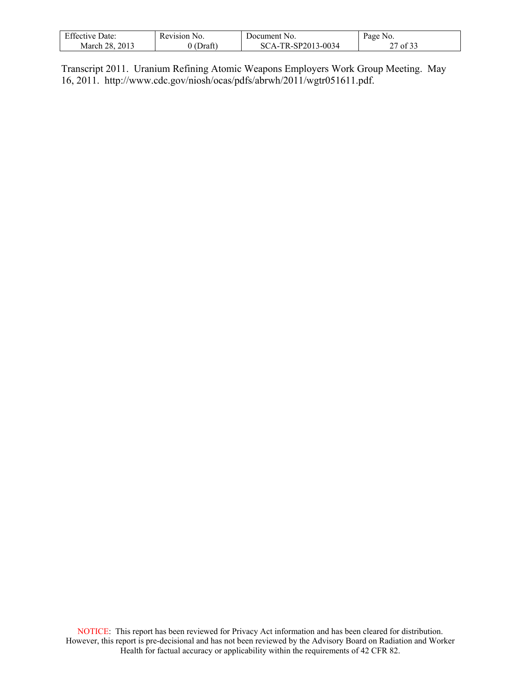| <b>Effective Date:</b> | Revision No. | Document No.       | Page No. |
|------------------------|--------------|--------------------|----------|
| March 28, 2013         | (Draft)      | SCA-TR-SP2013-0034 | of $32$  |

Transcript 2011. Uranium Refining Atomic Weapons Employers Work Group Meeting. May 16, 2011. http://www.cdc.gov/niosh/ocas/pdfs/abrwh/2011/wgtr051611.pdf.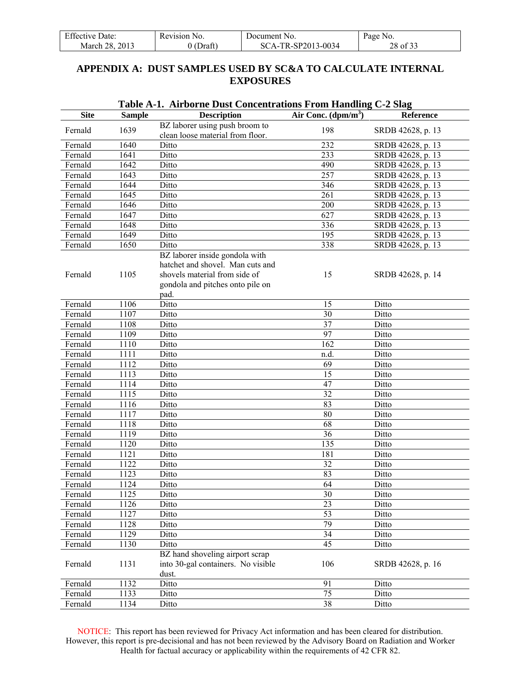<span id="page-27-0"></span>

| <b>Effective Date:</b> | Revision No. | Document No.       | Page No. |
|------------------------|--------------|--------------------|----------|
| March 28, 2013         | 0 (Draft)    | SCA-TR-SP2013-0034 | 28 of 33 |

## **APPENDIX A: DUST SAMPLES USED BY SC&A TO CALCULATE INTERNAL EXPOSURES**

| <b>Site</b> | <b>Sample</b> | 1. THE BOTTLE D'use Concentrations I Foll Handing<br><b>Description</b>                                                                         | Air Conc. $(dpm/m^3)$ | Reference         |
|-------------|---------------|-------------------------------------------------------------------------------------------------------------------------------------------------|-----------------------|-------------------|
|             |               | BZ laborer using push broom to                                                                                                                  |                       |                   |
| Fernald     | 1639          | clean loose material from floor.                                                                                                                | 198                   | SRDB 42628, p. 13 |
| Fernald     | 1640          | Ditto                                                                                                                                           | 232                   | SRDB 42628, p. 13 |
| Fernald     | 1641          | Ditto                                                                                                                                           | 233                   | SRDB 42628, p. 13 |
| Fernald     | 1642          | Ditto                                                                                                                                           | 490                   | SRDB 42628, p. 13 |
| Fernald     | 1643          | Ditto                                                                                                                                           | 257                   | SRDB 42628, p. 13 |
| Fernald     | 1644          | Ditto                                                                                                                                           | 346                   | SRDB 42628, p. 13 |
| Fernald     | 1645          | Ditto                                                                                                                                           | 261                   | SRDB 42628, p. 13 |
| Fernald     | 1646          | Ditto                                                                                                                                           | 200                   | SRDB 42628, p. 13 |
| Fernald     | 1647          | Ditto                                                                                                                                           | 627                   | SRDB 42628, p. 13 |
| Fernald     | 1648          | Ditto                                                                                                                                           | 336                   | SRDB 42628, p. 13 |
| Fernald     | 1649          | Ditto                                                                                                                                           | 195                   | SRDB 42628, p. 13 |
| Fernald     | 1650          | Ditto                                                                                                                                           | 338                   | SRDB 42628, p. 13 |
| Fernald     | 1105          | BZ laborer inside gondola with<br>hatchet and shovel. Man cuts and<br>shovels material from side of<br>gondola and pitches onto pile on<br>pad. | 15                    | SRDB 42628, p. 14 |
| Fernald     | 1106          | Ditto                                                                                                                                           | 15                    | Ditto             |
| Fernald     | 1107          | Ditto                                                                                                                                           | 30                    | Ditto             |
| Fernald     | 1108          | Ditto                                                                                                                                           | 37                    | Ditto             |
| Fernald     | 1109          | Ditto                                                                                                                                           | 97                    | Ditto             |
| Fernald     | 1110          | Ditto                                                                                                                                           | 162                   | Ditto             |
| Fernald     | 1111          | Ditto                                                                                                                                           | n.d.                  | Ditto             |
| Fernald     | 1112          | Ditto                                                                                                                                           | 69                    | Ditto             |
| Fernald     | 1113          | Ditto                                                                                                                                           | 15                    | Ditto             |
| Fernald     | 1114          | Ditto                                                                                                                                           | 47                    | Ditto             |
| Fernald     | 1115          | Ditto                                                                                                                                           | 32                    | Ditto             |
| Fernald     | 1116          | Ditto                                                                                                                                           | 83                    | Ditto             |
| Fernald     | 1117          | Ditto                                                                                                                                           | 80                    | Ditto             |
| Fernald     | 1118          | Ditto                                                                                                                                           | 68                    | Ditto             |
| Fernald     | 1119          | Ditto                                                                                                                                           | 36                    | Ditto             |
| Fernald     | 1120          | Ditto                                                                                                                                           | 135                   | Ditto             |
| Fernald     | 1121          | Ditto                                                                                                                                           | 181                   | Ditto             |
| Fernald     | 1122          | Ditto                                                                                                                                           | 32                    | Ditto             |
| Fernald     | 1123          | Ditto                                                                                                                                           | 83                    | Ditto             |
| Fernald     | 1124          | Ditto                                                                                                                                           | 64                    | Ditto             |
| Fernald     | 1125          | Ditto                                                                                                                                           | 30                    | Ditto             |
| Fernald     | 1126          | Ditto                                                                                                                                           | 23                    | Ditto             |
| Fernald     | 1127          | Ditto                                                                                                                                           | 53                    | Ditto             |
| Fernald     | 1128          | Ditto                                                                                                                                           | 79                    | Ditto             |
| Fernald     | 1129          | Ditto                                                                                                                                           | 34                    | Ditto             |
| Fernald     | 1130          | Ditto                                                                                                                                           | 45                    | Ditto             |
| Fernald     | 1131          | BZ hand shoveling airport scrap<br>into 30-gal containers. No visible<br>dust.                                                                  | 106                   | SRDB 42628, p. 16 |
| Fernald     | 1132          | Ditto                                                                                                                                           | 91                    | Ditto             |
| Fernald     | 1133          | Ditto                                                                                                                                           | 75                    | Ditto             |
| Fernald     | 1134          | Ditto                                                                                                                                           | 38                    | Ditto             |

#### **Table A-1. Airborne Dust Concentrations From Handling C-2 Slag**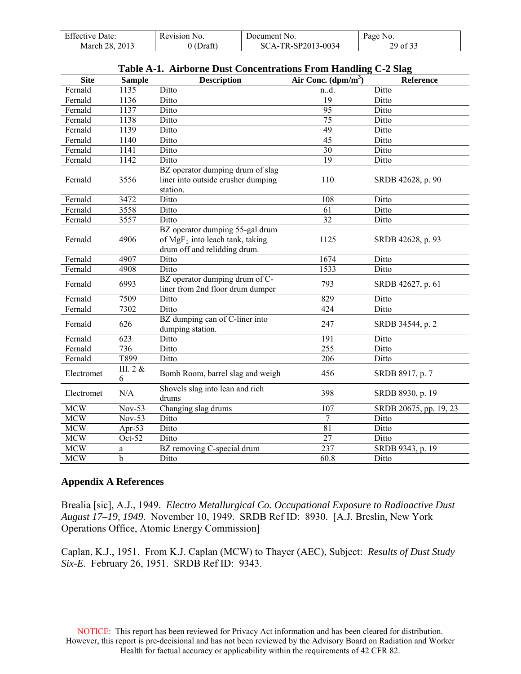| <b>Effective Date:</b> | Revision No. | Document No.       | Page No. |
|------------------------|--------------|--------------------|----------|
| March 28, 2013         | $0$ (Draft)  | SCA-TR-SP2013-0034 | 29 of 33 |

| <b>Site</b> | <b>Sample</b> | <b>Description</b>                                                                                    | Air Conc. $(dpm/m3)$ | Reference              |
|-------------|---------------|-------------------------------------------------------------------------------------------------------|----------------------|------------------------|
| Fernald     | 1135          | Ditto                                                                                                 | n.d.                 | Ditto                  |
| Fernald     | 1136          | Ditto                                                                                                 | 19                   | Ditto                  |
| Fernald     | 1137          | Ditto                                                                                                 | $\overline{95}$      | Ditto                  |
| Fernald     | 1138          | Ditto                                                                                                 | $\overline{75}$      | Ditto                  |
| Fernald     | 1139          | Ditto                                                                                                 | 49                   | Ditto                  |
| Fernald     | 1140          | Ditto                                                                                                 | $\overline{45}$      | Ditto                  |
| Fernald     | 1141          | Ditto                                                                                                 | 30                   | Ditto                  |
| Fernald     | 1142          | Ditto                                                                                                 | 19                   | Ditto                  |
| Fernald     | 3556          | BZ operator dumping drum of slag<br>liner into outside crusher dumping<br>station.                    | 110                  | SRDB 42628, p. 90      |
| Fernald     | 3472          | Ditto                                                                                                 | 108                  | Ditto                  |
| Fernald     | 3558          | Ditto                                                                                                 | 61                   | Ditto                  |
| Fernald     | 3557          | Ditto                                                                                                 | $\overline{32}$      | Ditto                  |
| Fernald     | 4906          | BZ operator dumping 55-gal drum<br>of $MgF_2$ into leach tank, taking<br>drum off and relidding drum. | 1125                 | SRDB 42628, p. 93      |
| Fernald     | 4907          | Ditto                                                                                                 | 1674                 | Ditto                  |
| Fernald     | 4908          | Ditto                                                                                                 | 1533                 | Ditto                  |
| Fernald     | 6993          | BZ operator dumping drum of C-<br>liner from 2nd floor drum dumper                                    | 793                  | SRDB 42627, p. 61      |
| Fernald     | 7509          | Ditto                                                                                                 | 829                  | Ditto                  |
| Fernald     | 7302          | Ditto                                                                                                 | 424                  | Ditto                  |
| Fernald     | 626           | BZ dumping can of C-liner into<br>dumping station.                                                    | 247                  | SRDB 34544, p. 2       |
| Fernald     | 623           | Ditto                                                                                                 | 191                  | Ditto                  |
| Fernald     | 736           | Ditto                                                                                                 | 255                  | Ditto                  |
| Fernald     | T899          | Ditto                                                                                                 | 206                  | Ditto                  |
| Electromet  | III. 2 &<br>6 | Bomb Room, barrel slag and weigh                                                                      | 456                  | SRDB 8917, p. 7        |
| Electromet  | N/A           | Shovels slag into lean and rich<br>drums                                                              | 398                  | SRDB 8930, p. 19       |
| <b>MCW</b>  | $Nov-53$      | Changing slag drums                                                                                   | 107                  | SRDB 20675, pp. 19, 23 |
| <b>MCW</b>  | Nov-53        | Ditto                                                                                                 | 7                    | Ditto                  |
| <b>MCW</b>  | Apr-53        | Ditto                                                                                                 | $\overline{81}$      | Ditto                  |
| <b>MCW</b>  | Oct-52        | Ditto                                                                                                 | 27                   | Ditto                  |
| <b>MCW</b>  | a             | BZ removing C-special drum                                                                            | 237                  | SRDB 9343, p. 19       |
| <b>MCW</b>  | b             | Ditto                                                                                                 | 60.8                 | Ditto                  |

| Table A-1. Airborne Dust Concentrations From Handling C-2 Slag |  |
|----------------------------------------------------------------|--|
|----------------------------------------------------------------|--|

#### **Appendix A References**

Brealia [sic], A.J., 1949. *Electro Metallurgical Co. Occupational Exposure to Radioactive Dust August 17–19, 1949*. November 10, 1949. SRDB Ref ID: 8930. [A.J. Breslin, New York Operations Office, Atomic Energy Commission]

Caplan, K.J., 1951. From K.J. Caplan (MCW) to Thayer (AEC), Subject: *Results of Dust Study Six-E*. February 26, 1951. SRDB Ref ID: 9343.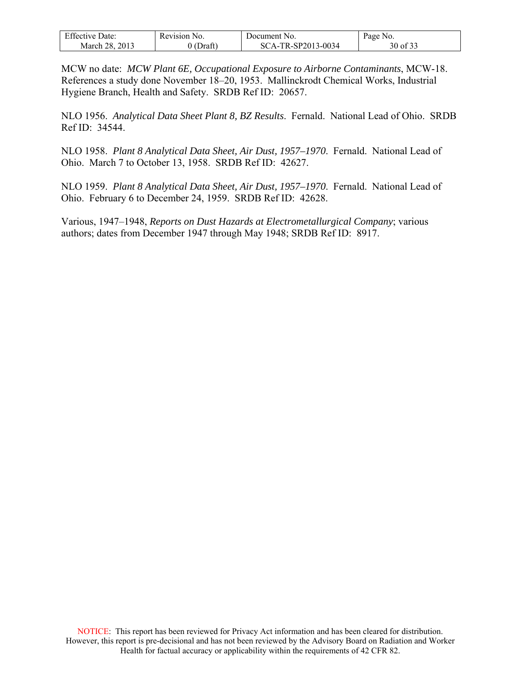| <b>Effective Date:</b> | Revision 1<br>N <sub>O</sub> | Document No.          | Page<br>N <sub>0</sub> |
|------------------------|------------------------------|-----------------------|------------------------|
| 2013<br>28<br>March 2  | 01<br>Draft                  | TR-SP2013-0034<br>SCA | $\sim$ 0.00<br>30 of   |

MCW no date: *MCW Plant 6E, Occupational Exposure to Airborne Contaminants*, MCW-18. References a study done November 18–20, 1953. Mallinckrodt Chemical Works, Industrial Hygiene Branch, Health and Safety. SRDB Ref ID: 20657.

NLO 1956. *Analytical Data Sheet Plant 8, BZ Results*. Fernald. National Lead of Ohio. SRDB Ref ID: 34544.

NLO 1958. *Plant 8 Analytical Data Sheet, Air Dust, 1957–1970*. Fernald. National Lead of Ohio. March 7 to October 13, 1958. SRDB Ref ID: 42627.

NLO 1959. *Plant 8 Analytical Data Sheet, Air Dust, 1957–1970*. Fernald. National Lead of Ohio. February 6 to December 24, 1959. SRDB Ref ID: 42628.

Various, 1947–1948, *Reports on Dust Hazards at Electrometallurgical Company*; various authors; dates from December 1947 through May 1948; SRDB Ref ID: 8917.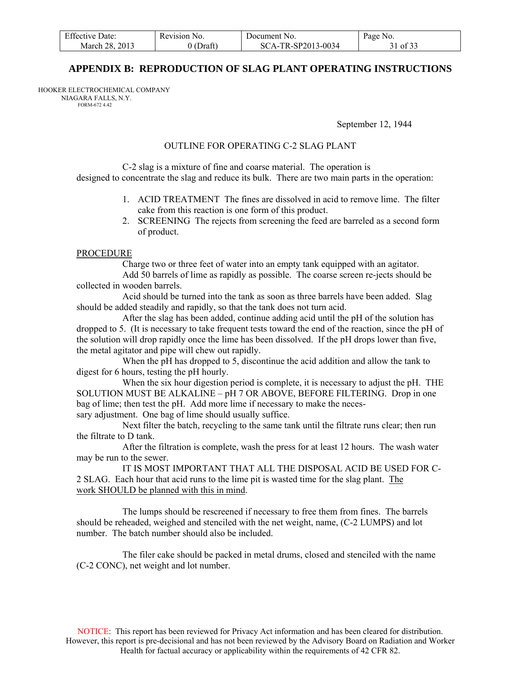| <b>Effective Date:</b> | Revision No. | Document No.       | Page No. |
|------------------------|--------------|--------------------|----------|
| March 28, 2013         | $0$ (Draft)  | SCA-TR-SP2013-0034 | 31 of 33 |

#### **APPENDIX B: REPRODUCTION OF SLAG PLANT OPERATING INSTRUCTIONS**

<span id="page-30-0"></span>HOOKER ELECTROCHEMICAL COMPANY NI AGARA FALLS, N.Y. FORM-672 4.42

September 12, 1944

#### OUTLINE FOR OPERATING C-2 SLAG PLANT

 C-2 slag is a mixture of fine and coarse material. The operation is designed to concentrate the slag and reduce its bulk. There are two main parts in the operation:

- 1. ACID TREATMENT The fines are dissolved in acid to remove lime. The filter cake from this reaction is one form of this product.
- 2. SCREENING The rejects from screening the feed are barreled as a second form of product.

#### PROCEDURE

 Charge two or three feet of water into an empty tank equipped with an agitator. Add 50 barrels of lime as rapidly as possible. The coarse screen re-jects should be collected in wooden barrels.

 Acid should be turned into the tank as soon as three barrels have been added. Slag should be added steadily and rapidly, so that the tank does not turn acid.

 After the slag has been added, continue adding acid until the pH of the solution has dropped to 5. (It is necessary to take frequent tests toward the end of the reaction, since the pH of the solution will drop rapidly once the lime has been dissolved. If the pH drops lower than five, the metal agitator and pipe will chew out rapidly.

When the pH has dropped to 5, discontinue the acid addition and allow the tank to digest for 6 hours, testing the pH hourly.

 When the six hour digestion period is complete, it is necessary to adjust the pH. THE SOLUTION MUST BE ALKALINE – pH 7 OR ABOVE, BEFORE FILTERING. Drop in one bag of lime; then test the pH. Add more lime if necessary to make the necessary adjustment. One bag of lime should usually suffice.

 Next filter the batch, recycling to the same tank until the filtrate runs clear; then run the filtrate to D tank.

 After the filtration is complete, wash the press for at least 12 hours. The wash water may be run to the sewer.

 IT IS MOST IMPORTANT THAT ALL THE DISPOSAL ACID BE USED FOR C-2 SLAG. Each hour that acid runs to the lime pit is wasted time for the slag plant. The work SHOULD be planned with this in mind.

 The lumps should be rescreened if necessary to free them from fines. The barrels should be reheaded, weighed and stenciled with the net weight, name, (C-2 LUMPS) and lot number. The batch number should also be included.

 The filer cake should be packed in metal drums, closed and stenciled with the name (C-2 CONC), net weight and lot number.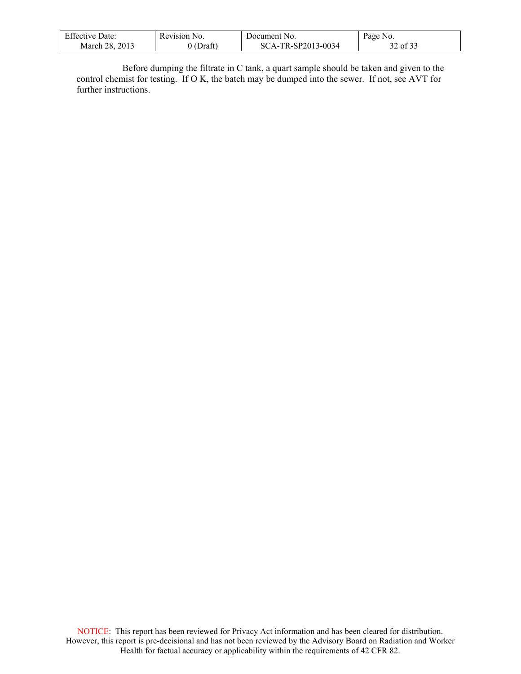| <b>Effective Date:</b> | Revision No. | Document No.       | Page No. |
|------------------------|--------------|--------------------|----------|
| March 28, 2013         | (Draft)      | SCA-TR-SP2013-0034 | 32 of 33 |

 $\mathsf{l}$ 

 Before dumping the filtrate in C tank, a quart sample should be taken and given to the control chemist for testing. If O K, the batch may be dumped into the sewer. If not, see AVT for further instructions.